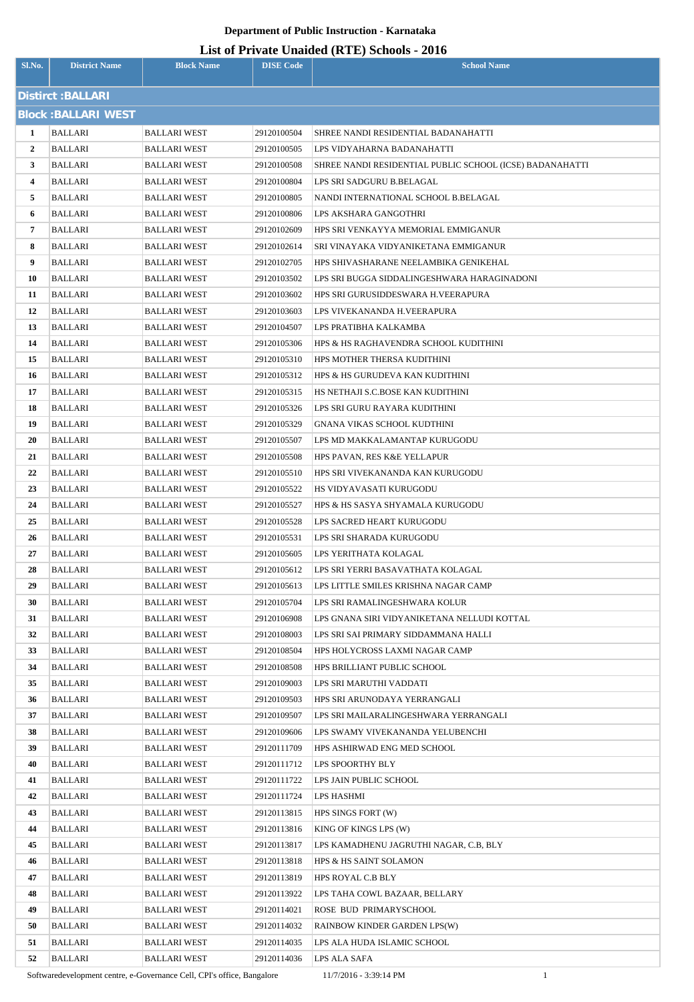| Sl.No. | <b>District Name</b>       | <b>Block Name</b>   | <b>DISE Code</b> | $\sim$<br><b>School Name</b>                             |
|--------|----------------------------|---------------------|------------------|----------------------------------------------------------|
|        | Distirct : BALLARI         |                     |                  |                                                          |
|        | <b>Block: BALLARI WEST</b> |                     |                  |                                                          |
| 1      | <b>BALLARI</b>             | <b>BALLARI WEST</b> | 29120100504      | SHREE NANDI RESIDENTIAL BADANAHATTI                      |
| 2      | BALLARI                    | <b>BALLARI WEST</b> | 29120100505      | LPS VIDYAHARNA BADANAHATTI                               |
| 3      | BALLARI                    | BALLARI WEST        | 29120100508      | SHREE NANDI RESIDENTIAL PUBLIC SCHOOL (ICSE) BADANAHATTI |
| 4      | BALLARI                    | BALLARI WEST        | 29120100804      | LPS SRI SADGURU B.BELAGAL                                |
| 5      | BALLARI                    | BALLARI WEST        | 29120100805      | NANDI INTERNATIONAL SCHOOL B.BELAGAL                     |
| 6      | BALLARI                    | BALLARI WEST        | 29120100806      | LPS AKSHARA GANGOTHRI                                    |
| 7      | BALLARI                    | <b>BALLARI WEST</b> | 29120102609      | HPS SRI VENKAYYA MEMORIAL EMMIGANUR                      |
| 8      | BALLARI                    | BALLARI WEST        | 29120102614      | SRI VINAYAKA VIDYANIKETANA EMMIGANUR                     |
| 9      | BALLARI                    | BALLARI WEST        | 29120102705      | HPS SHIVASHARANE NEELAMBIKA GENIKEHAL                    |
| 10     | BALLARI                    | <b>BALLARI WEST</b> | 29120103502      | LPS SRI BUGGA SIDDALINGESHWARA HARAGINADONI              |
| 11     | BALLARI                    | <b>BALLARI WEST</b> | 29120103602      | HPS SRI GURUSIDDESWARA H.VEERAPURA                       |
| 12     | BALLARI                    | <b>BALLARI WEST</b> | 29120103603      | LPS VIVEKANANDA H.VEERAPURA                              |
| 13     | BALLARI                    | <b>BALLARI WEST</b> | 29120104507      | LPS PRATIBHA KALKAMBA                                    |
| 14     | BALLARI                    | BALLARI WEST        | 29120105306      | HPS & HS RAGHAVENDRA SCHOOL KUDITHINI                    |
| 15     | BALLARI                    | <b>BALLARI WEST</b> | 29120105310      | HPS MOTHER THERSA KUDITHINI                              |
| 16     | BALLARI                    | BALLARI WEST        | 29120105312      | HPS & HS GURUDEVA KAN KUDITHINI                          |
| 17     | BALLARI                    | BALLARI WEST        | 29120105315      | HS NETHAJI S.C.BOSE KAN KUDITHINI                        |
| 18     | BALLARI                    | BALLARI WEST        | 29120105326      | LPS SRI GURU RAYARA KUDITHINI                            |
| 19     | <b>BALLARI</b>             | BALLARI WEST        | 29120105329      | GNANA VIKAS SCHOOL KUDTHINI                              |
| 20     | BALLARI                    | BALLARI WEST        | 29120105507      | LPS MD MAKKALAMANTAP KURUGODU                            |
| 21     | BALLARI                    | <b>BALLARI WEST</b> | 29120105508      | HPS PAVAN, RES K&E YELLAPUR                              |
| 22     | BALLARI                    | BALLARI WEST        | 29120105510      | HPS SRI VIVEKANANDA KAN KURUGODU                         |
| 23     | BALLARI                    | <b>BALLARI WEST</b> | 29120105522      | HS VIDYAVASATI KURUGODU                                  |
| 24     | BALLARI                    | BALLARI WEST        | 29120105527      | HPS & HS SASYA SHYAMALA KURUGODU                         |
| 25     | BALLARI                    | BALLARI WEST        | 29120105528      | LPS SACRED HEART KURUGODU                                |
| 26     | <b>BALLARI</b>             | <b>BALLARI WEST</b> | 29120105531      | LPS SRI SHARADA KURUGODU                                 |
| 27     | <b>BALLARI</b>             | <b>BALLARI WEST</b> | 29120105605      | LPS YERITHATA KOLAGAL                                    |
| 28     | BALLARI                    | BALLARI WEST        | 29120105612      | LPS SRI YERRI BASAVATHATA KOLAGAL                        |
| 29     | BALLARI                    | BALLARI WEST        | 29120105613      | LPS LITTLE SMILES KRISHNA NAGAR CAMP                     |
| 30     | BALLARI                    | <b>BALLARI WEST</b> | 29120105704      | LPS SRI RAMALINGESHWARA KOLUR                            |
| 31     | BALLARI                    | <b>BALLARI WEST</b> | 29120106908      | LPS GNANA SIRI VIDYANIKETANA NELLUDI KOTTAL              |
| 32     | BALLARI                    | BALLARI WEST        | 29120108003      | LPS SRI SAI PRIMARY SIDDAMMANA HALLI                     |
| 33     | <b>BALLARI</b>             | <b>BALLARI WEST</b> | 29120108504      | HPS HOLYCROSS LAXMI NAGAR CAMP                           |
| 34     | <b>BALLARI</b>             | <b>BALLARI WEST</b> | 29120108508      | HPS BRILLIANT PUBLIC SCHOOL                              |
| 35     | BALLARI                    | BALLARI WEST        | 29120109003      | LPS SRI MARUTHI VADDATI                                  |
| 36     | BALLARI                    | BALLARI WEST        | 29120109503      | HPS SRI ARUNODAYA YERRANGALI                             |
| 37     | BALLARI                    | <b>BALLARI WEST</b> | 29120109507      | LPS SRI MAILARALINGESHWARA YERRANGALI                    |
| 38     | BALLARI                    | <b>BALLARI WEST</b> | 29120109606      | LPS SWAMY VIVEKANANDA YELUBENCHI                         |
| 39     | BALLARI                    | BALLARI WEST        | 29120111709      | HPS ASHIRWAD ENG MED SCHOOL                              |
| 40     | BALLARI                    | BALLARI WEST        | 29120111712      | LPS SPOORTHY BLY                                         |
| 41     | BALLARI                    | BALLARI WEST        | 29120111722      | LPS JAIN PUBLIC SCHOOL                                   |
| 42     | BALLARI                    | <b>BALLARI WEST</b> | 29120111724      | LPS HASHMI                                               |
| 43     | BALLARI                    | BALLARI WEST        | 29120113815      | HPS SINGS FORT (W)                                       |
| 44     | BALLARI                    | BALLARI WEST        | 29120113816      | KING OF KINGS LPS (W)                                    |
| 45     | BALLARI                    | BALLARI WEST        | 29120113817      | LPS KAMADHENU JAGRUTHI NAGAR, C.B. BLY                   |
| 46     | BALLARI                    | <b>BALLARI WEST</b> | 29120113818      | HPS & HS SAINT SOLAMON                                   |
| 47     | BALLARI                    | BALLARI WEST        | 29120113819      | HPS ROYAL C.B BLY                                        |
| 48     | BALLARI                    | BALLARI WEST        | 29120113922      | LPS TAHA COWL BAZAAR, BELLARY                            |
| 49     | BALLARI                    | BALLARI WEST        | 29120114021      | ROSE BUD PRIMARYSCHOOL                                   |
| 50     | <b>BALLARI</b>             | <b>BALLARI WEST</b> | 29120114032      | RAINBOW KINDER GARDEN LPS(W)                             |
| 51     | BALLARI                    | BALLARI WEST        | 29120114035      | LPS ALA HUDA ISLAMIC SCHOOL                              |
| 52     | BALLARI                    | BALLARI WEST        | 29120114036      | LPS ALA SAFA                                             |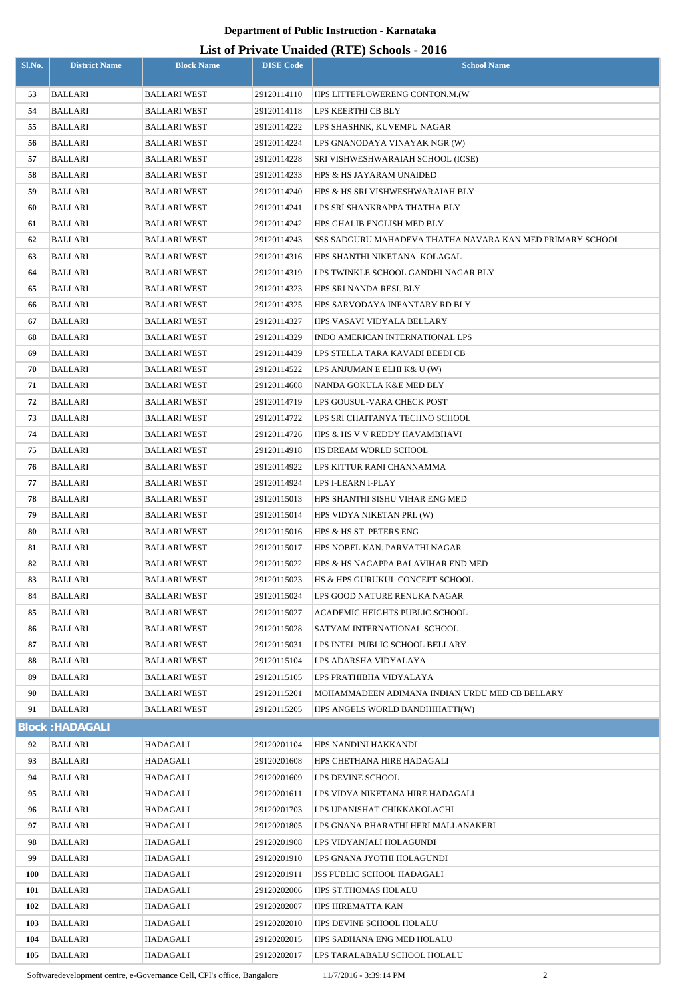# **List of Private Unaided (RTE) Schools - 2016**

|            |                           |                      |                            | LIST OF FITVALE UNAIGURE (INTER) SCHOOLS - 2010           |
|------------|---------------------------|----------------------|----------------------------|-----------------------------------------------------------|
| Sl.No.     | <b>District Name</b>      | <b>Block Name</b>    | <b>DISE Code</b>           | <b>School Name</b>                                        |
| 53         | <b>BALLARI</b>            | <b>BALLARI WEST</b>  | 29120114110                | HPS LITTEFLOWERENG CONTON.M.(W                            |
| 54         | <b>BALLARI</b>            | <b>BALLARI WEST</b>  | 29120114118                | LPS KEERTHI CB BLY                                        |
| 55         | <b>BALLARI</b>            | <b>BALLARI WEST</b>  | 29120114222                | LPS SHASHNK, KUVEMPU NAGAR                                |
| 56         | <b>BALLARI</b>            | <b>BALLARI WEST</b>  | 29120114224                | LPS GNANODAYA VINAYAK NGR (W)                             |
| 57         | <b>BALLARI</b>            | <b>BALLARI WEST</b>  | 29120114228                | SRI VISHWESHWARAIAH SCHOOL (ICSE)                         |
| 58         | <b>BALLARI</b>            | <b>BALLARI WEST</b>  | 29120114233                | HPS & HS JAYARAM UNAIDED                                  |
| 59         | <b>BALLARI</b>            | <b>BALLARI WEST</b>  | 29120114240                | HPS & HS SRI VISHWESHWARAIAH BLY                          |
| 60         | <b>BALLARI</b>            | <b>BALLARI WEST</b>  | 29120114241                | LPS SRI SHANKRAPPA THATHA BLY                             |
| 61         | <b>BALLARI</b>            | <b>BALLARI WEST</b>  | 29120114242                | HPS GHALIB ENGLISH MED BLY                                |
| 62         | <b>BALLARI</b>            | <b>BALLARI WEST</b>  | 29120114243                | SSS SADGURU MAHADEVA THATHA NAVARA KAN MED PRIMARY SCHOOL |
| 63         | <b>BALLARI</b>            | <b>BALLARI WEST</b>  | 29120114316                | HPS SHANTHI NIKETANA KOLAGAL                              |
| 64         | <b>BALLARI</b>            | <b>BALLARI WEST</b>  | 29120114319                | LPS TWINKLE SCHOOL GANDHI NAGAR BLY                       |
| 65         | <b>BALLARI</b>            | <b>BALLARI WEST</b>  | 29120114323                | HPS SRI NANDA RESI. BLY                                   |
| 66         | <b>BALLARI</b>            | <b>BALLARI WEST</b>  | 29120114325                | HPS SARVODAYA INFANTARY RD BLY                            |
| 67         | <b>BALLARI</b>            | BALLARI WEST         | 29120114327                | HPS VASAVI VIDYALA BELLARY                                |
| 68         | <b>BALLARI</b>            | <b>BALLARI WEST</b>  | 29120114329                | INDO AMERICAN INTERNATIONAL LPS                           |
| 69         | <b>BALLARI</b>            | <b>BALLARI WEST</b>  | 29120114439                | LPS STELLA TARA KAVADI BEEDI CB                           |
| 70         | <b>BALLARI</b>            | <b>BALLARI WEST</b>  | 29120114522                | LPS ANJUMAN E ELHI K& U (W)                               |
| 71         | <b>BALLARI</b>            | <b>BALLARI WEST</b>  | 29120114608                | NANDA GOKULA K&E MED BLY                                  |
| 72         | <b>BALLARI</b>            | <b>BALLARI WEST</b>  | 29120114719                | LPS GOUSUL-VARA CHECK POST                                |
| 73         | <b>BALLARI</b>            | <b>BALLARI WEST</b>  | 29120114722                | LPS SRI CHAITANYA TECHNO SCHOOL                           |
| 74         | <b>BALLARI</b>            | <b>BALLARI WEST</b>  | 29120114726                | HPS & HS V V REDDY HAVAMBHAVI                             |
| 75         | <b>BALLARI</b>            | BALLARI WEST         | 29120114918                | HS DREAM WORLD SCHOOL                                     |
| 76         | <b>BALLARI</b>            | <b>BALLARI WEST</b>  | 29120114922                | LPS KITTUR RANI CHANNAMMA                                 |
| 77         | <b>BALLARI</b>            | <b>BALLARI WEST</b>  | 29120114924                | LPS I-LEARN I-PLAY                                        |
| 78         | <b>BALLARI</b>            | <b>BALLARI WEST</b>  | 29120115013                | HPS SHANTHI SISHU VIHAR ENG MED                           |
| 79         | <b>BALLARI</b>            | <b>BALLARI WEST</b>  | 29120115014                | HPS VIDYA NIKETAN PRI. (W)                                |
| 80         | <b>BALLARI</b>            | <b>BALLARI WEST</b>  | 29120115016                | HPS & HS ST. PETERS ENG                                   |
| 81         | BALLARI                   | <b>BALLARI WEST</b>  | 29120115017                | HPS NOBEL KAN. PARVATHI NAGAR                             |
| 82         | <b>BALLARI</b>            | <b>BALLARI WEST</b>  | 29120115022                | HPS & HS NAGAPPA BALAVIHAR END MED                        |
| 83         | BALLARI                   | <b>BALLARI WEST</b>  | 29120115023                | HS & HPS GURUKUL CONCEPT SCHOOL                           |
| 84         | <b>BALLARI</b>            | BALLARI WEST         | 29120115024                | LPS GOOD NATURE RENUKA NAGAR                              |
| 85         | BALLARI                   | <b>BALLARI WEST</b>  | 29120115027                | ACADEMIC HEIGHTS PUBLIC SCHOOL                            |
| 86         | <b>BALLARI</b>            | <b>BALLARI WEST</b>  | 29120115028                | SATYAM INTERNATIONAL SCHOOL                               |
| 87         | BALLARI                   | BALLARI WEST         | 29120115031                | LPS INTEL PUBLIC SCHOOL BELLARY                           |
| 88         | <b>BALLARI</b>            | BALLARI WEST         | 29120115104                | LPS ADARSHA VIDYALAYA                                     |
| 89         | <b>BALLARI</b>            | BALLARI WEST         | 29120115105                | LPS PRATHIBHA VIDYALAYA                                   |
| 90         | <b>BALLARI</b>            | BALLARI WEST         | 29120115201                | MOHAMMADEEN ADIMANA INDIAN URDU MED CB BELLARY            |
| 91         | <b>BALLARI</b>            | <b>BALLARI WEST</b>  | 29120115205                | HPS ANGELS WORLD BANDHIHATTI(W)                           |
|            | <b>Block: HADAGALI</b>    |                      |                            |                                                           |
| 92         | <b>BALLARI</b>            | HADAGALI             | 29120201104                | HPS NANDINI HAKKANDI                                      |
| 93         | <b>BALLARI</b>            | HADAGALI             | 29120201608                | HPS CHETHANA HIRE HADAGALI                                |
| 94         | BALLARI                   | HADAGALI             | 29120201609                | LPS DEVINE SCHOOL                                         |
| 95         | <b>BALLARI</b>            | HADAGALI             | 29120201611                | LPS VIDYA NIKETANA HIRE HADAGALI                          |
| 96         | BALLARI                   | HADAGALI             | 29120201703                | LPS UPANISHAT CHIKKAKOLACHI                               |
| 97         | <b>BALLARI</b>            | HADAGALI             | 29120201805                | LPS GNANA BHARATHI HERI MALLANAKERI                       |
| 98         | BALLARI                   | HADAGALI             | 29120201908                | LPS VIDYANJALI HOLAGUNDI                                  |
| 99         | BALLARI                   | HADAGALI             | 29120201910                | LPS GNANA JYOTHI HOLAGUNDI                                |
| <b>100</b> | BALLARI                   | HADAGALI             | 29120201911                | <b>JSS PUBLIC SCHOOL HADAGALI</b>                         |
| 101<br>102 | <b>BALLARI</b>            | HADAGALI             | 29120202006                | HPS ST.THOMAS HOLALU                                      |
| 103        | BALLARI<br><b>BALLARI</b> | HADAGALI<br>HADAGALI | 29120202007<br>29120202010 | HPS HIREMATTA KAN<br>HPS DEVINE SCHOOL HOLALU             |
| 104        | <b>BALLARI</b>            | HADAGALI             | 29120202015                | HPS SADHANA ENG MED HOLALU                                |
| 105        | <b>BALLARI</b>            | HADAGALI             | 29120202017                | LPS TARALABALU SCHOOL HOLALU                              |
|            |                           |                      |                            |                                                           |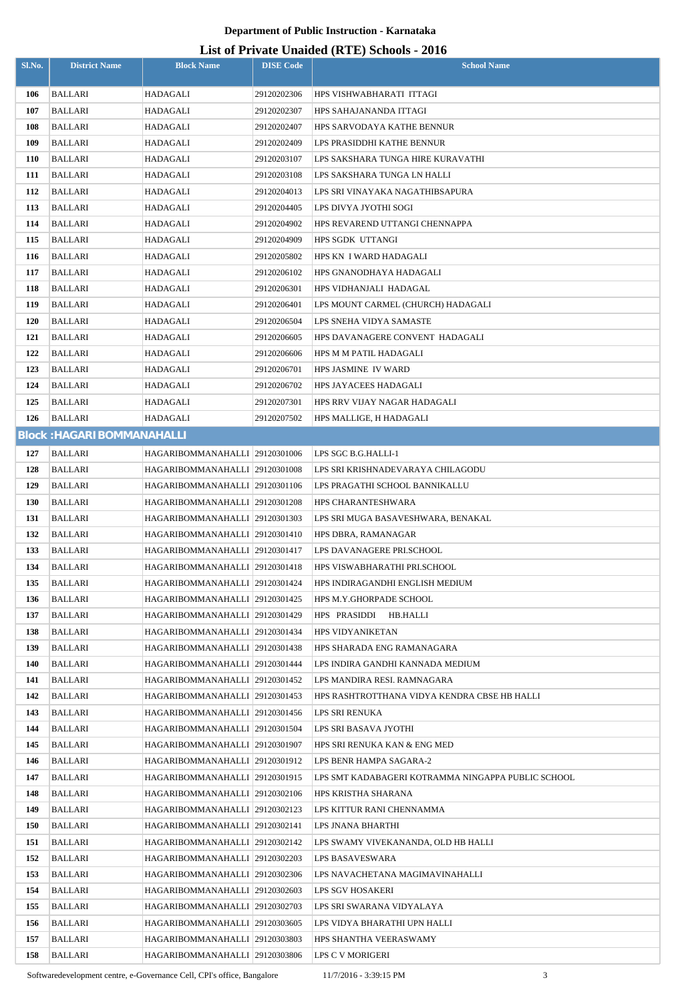#### **List of Private Unaided (RTE) Schools - 2016**

| Sl.No. | <b>District Name</b>              | <b>Block Name</b>                | <b>DISE Code</b> | Lest of Frivate Unafacti (KTL) Schools - 2010<br><b>School Name</b> |
|--------|-----------------------------------|----------------------------------|------------------|---------------------------------------------------------------------|
| 106    | BALLARI                           | HADAGALI                         | 29120202306      | HPS VISHWABHARATI ITTAGI                                            |
| 107    | BALLARI                           | HADAGALI                         | 29120202307      | HPS SAHAJANANDA ITTAGI                                              |
| 108    | BALLARI                           | HADAGALI                         | 29120202407      | HPS SARVODAYA KATHE BENNUR                                          |
| 109    | <b>BALLARI</b>                    | HADAGALI                         | 29120202409      | LPS PRASIDDHI KATHE BENNUR                                          |
| 110    | BALLARI                           | HADAGALI                         | 29120203107      | LPS SAKSHARA TUNGA HIRE KURAVATHI                                   |
| 111    | <b>BALLARI</b>                    | HADAGALI                         | 29120203108      | LPS SAKSHARA TUNGA LN HALLI                                         |
| 112    | <b>BALLARI</b>                    | HADAGALI                         | 29120204013      | LPS SRI VINAYAKA NAGATHIBSAPURA                                     |
| 113    | <b>BALLARI</b>                    | HADAGALI                         | 29120204405      | LPS DIVYA JYOTHI SOGI                                               |
| 114    | BALLARI                           | HADAGALI                         | 29120204902      | HPS REVAREND UTTANGI CHENNAPPA                                      |
| 115    | BALLARI                           | HADAGALI                         | 29120204909      | HPS SGDK UTTANGI                                                    |
| 116    | <b>BALLARI</b>                    | HADAGALI                         | 29120205802      | HPS KN I WARD HADAGALI                                              |
| 117    | BALLARI                           | HADAGALI                         | 29120206102      | HPS GNANODHAYA HADAGALI                                             |
| 118    | BALLARI                           | HADAGALI                         | 29120206301      | HPS VIDHANJALI HADAGAL                                              |
| 119    | BALLARI                           | HADAGALI                         | 29120206401      | LPS MOUNT CARMEL (CHURCH) HADAGALI                                  |
| 120    | <b>BALLARI</b>                    | HADAGALI                         | 29120206504      | LPS SNEHA VIDYA SAMASTE                                             |
| 121    | BALLARI                           | HADAGALI                         | 29120206605      | HPS DAVANAGERE CONVENT HADAGALI                                     |
| 122    | BALLARI                           | HADAGALI                         | 29120206606      | HPS M M PATIL HADAGALI                                              |
| 123    | BALLARI                           | HADAGALI                         | 29120206701      | HPS JASMINE IV WARD                                                 |
| 124    | BALLARI                           | HADAGALI                         | 29120206702      | HPS JAYACEES HADAGALI                                               |
| 125    | BALLARI                           | HADAGALI                         | 29120207301      | HPS RRV VIJAY NAGAR HADAGALI                                        |
| 126    | <b>BALLARI</b>                    | HADAGALI                         | 29120207502      | HPS MALLIGE, H HADAGALI                                             |
|        | <b>Block: HAGARI BOMMANAHALLI</b> |                                  |                  |                                                                     |
| 127    | BALLARI                           | HAGARIBOMMANAHALLI 29120301006   |                  | LPS SGC B.G.HALLI-1                                                 |
| 128    | BALLARI                           | HAGARIBOMMANAHALLI 29120301008   |                  | LPS SRI KRISHNADEVARAYA CHILAGODU                                   |
| 129    | BALLARI                           | HAGARIBOMMANAHALLI 29120301106   |                  | LPS PRAGATHI SCHOOL BANNIKALLU                                      |
| 130    | <b>BALLARI</b>                    | HAGARIBOMMANAHALLI 29120301208   |                  | <b>HPS CHARANTESHWARA</b>                                           |
| 131    | BALLARI                           | HAGARIBOMMANAHALLI 29120301303   |                  | LPS SRI MUGA BASAVESHWARA, BENAKAL                                  |
| 132    | <b>BALLARI</b>                    | HAGARIBOMMANAHALLI 29120301410   |                  | HPS DBRA, RAMANAGAR                                                 |
| 133    | <b>BALLARI</b>                    | HAGARIBOMMANAHALLI 29120301417   |                  | LPS DAVANAGERE PRI.SCHOOL                                           |
| 134    | <b>BALLARI</b>                    | HAGARIBOMMANAHALLI 29120301418   |                  | HPS VISWABHARATHI PRI.SCHOOL                                        |
| 135    | <b>BALLARI</b>                    | HAGARIBOMMANAHALLI 29120301424   |                  | HPS INDIRAGANDHI ENGLISH MEDIUM                                     |
| 136    | BALLARI                           | HAGARIBOMMANAHALLI 29120301425   |                  | HPS M.Y.GHORPADE SCHOOL                                             |
| 137    | BALLARI                           | HAGARIBOMMANAHALLI 29120301429   |                  | HPS PRASIDDI<br>HB.HALLI                                            |
| 138    | BALLARI                           | HAGARIBOMMANAHALLI 29120301434   |                  | <b>HPS VIDYANIKETAN</b>                                             |
| 139    | <b>BALLARI</b>                    | HAGARIBOMMANAHALLI 29120301438   |                  | HPS SHARADA ENG RAMANAGARA                                          |
| 140    | BALLARI                           | HAGARIBOMMANAHALLI 29120301444   |                  | LPS INDIRA GANDHI KANNADA MEDIUM                                    |
| 141    | BALLARI                           | HAGARIBOMMANAHALLI 29120301452   |                  | LPS MANDIRA RESI. RAMNAGARA                                         |
| 142    | BALLARI                           | HAGARIBOMMANAHALLI   29120301453 |                  | HPS RASHTROTTHANA VIDYA KENDRA CBSE HB HALLI                        |
| 143    | BALLARI                           | HAGARIBOMMANAHALLI 29120301456   |                  | LPS SRI RENUKA                                                      |
| 144    | BALLARI                           | HAGARIBOMMANAHALLI 29120301504   |                  | LPS SRI BASAVA JYOTHI                                               |
| 145    | BALLARI                           | HAGARIBOMMANAHALLI 29120301907   |                  | HPS SRI RENUKA KAN & ENG MED                                        |
| 146    | BALLARI                           | HAGARIBOMMANAHALLI 29120301912   |                  | LPS BENR HAMPA SAGARA-2                                             |
| 147    | BALLARI                           | HAGARIBOMMANAHALLI 29120301915   |                  | LPS SMT KADABAGERI KOTRAMMA NINGAPPA PUBLIC SCHOOL                  |
| 148    | BALLARI                           | HAGARIBOMMANAHALLI 29120302106   |                  | HPS KRISTHA SHARANA                                                 |
| 149    | BALLARI                           | HAGARIBOMMANAHALLI 29120302123   |                  | LPS KITTUR RANI CHENNAMMA                                           |
| 150    | BALLARI                           | HAGARIBOMMANAHALLI 29120302141   |                  | LPS JNANA BHARTHI                                                   |
| 151    | BALLARI                           | HAGARIBOMMANAHALLI 29120302142   |                  | LPS SWAMY VIVEKANANDA, OLD HB HALLI                                 |
| 152    | BALLARI                           | HAGARIBOMMANAHALLI 29120302203   |                  | LPS BASAVESWARA                                                     |
| 153    | BALLARI                           | HAGARIBOMMANAHALLI 29120302306   |                  | LPS NAVACHETANA MAGIMAVINAHALLI                                     |
| 154    | BALLARI                           | HAGARIBOMMANAHALLI 29120302603   |                  | LPS SGV HOSAKERI                                                    |
| 155    | BALLARI                           | HAGARIBOMMANAHALLI   29120302703 |                  | LPS SRI SWARANA VIDYALAYA                                           |
| 156    | <b>BALLARI</b>                    | HAGARIBOMMANAHALLI 29120303605   |                  | LPS VIDYA BHARATHI UPN HALLI                                        |
| 157    | BALLARI                           | HAGARIBOMMANAHALLI 29120303803   |                  | HPS SHANTHA VEERASWAMY                                              |
| 158    | BALLARI                           | HAGARIBOMMANAHALLI 29120303806   |                  | LPS C V MORIGERI                                                    |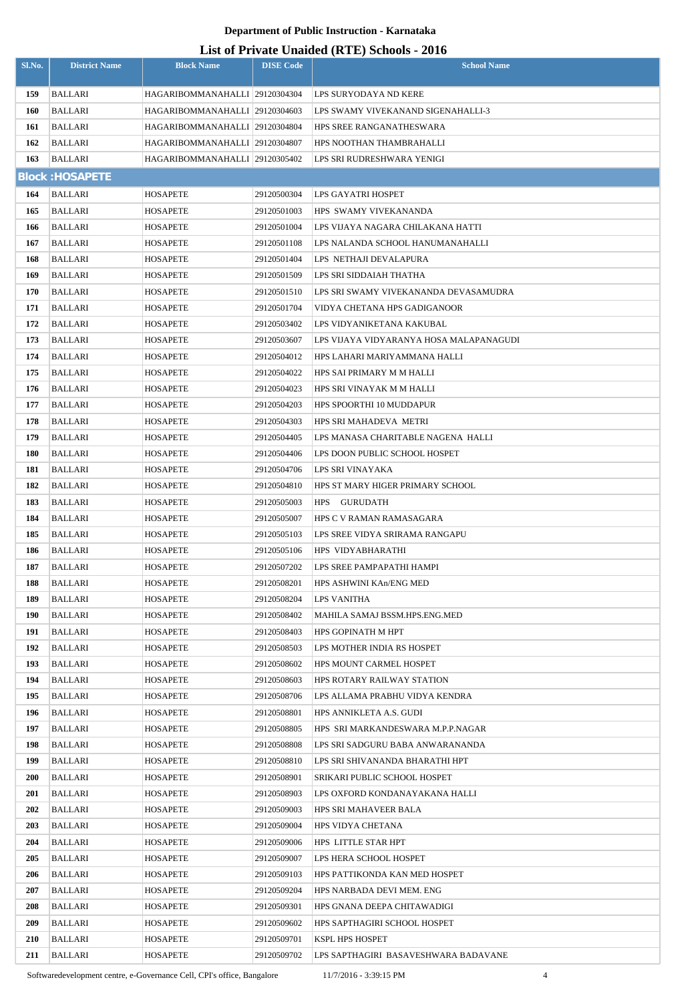# **List of Private Unaided (RTE) Schools - 2016**

| Sl.No.     | <b>District Name</b>             | <b>Block Name</b>              | <b>DISE Code</b>           | $\frac{1}{2}$<br><b>School Name</b>           |
|------------|----------------------------------|--------------------------------|----------------------------|-----------------------------------------------|
| 159        | <b>BALLARI</b>                   | HAGARIBOMMANAHALLI 29120304304 |                            | LPS SURYODAYA ND KERE                         |
| 160        | <b>BALLARI</b>                   | HAGARIBOMMANAHALLI 29120304603 |                            | LPS SWAMY VIVEKANAND SIGENAHALLI-3            |
| 161        | BALLARI                          | HAGARIBOMMANAHALLI 29120304804 |                            | HPS SREE RANGANATHESWARA                      |
| 162        | <b>BALLARI</b>                   | HAGARIBOMMANAHALLI 29120304807 |                            | HPS NOOTHAN THAMBRAHALLI                      |
| 163        | BALLARI                          | HAGARIBOMMANAHALLI 29120305402 |                            | LPS SRI RUDRESHWARA YENIGI                    |
|            | <b>Block: HOSAPETE</b>           |                                |                            |                                               |
| 164        | <b>BALLARI</b>                   | <b>HOSAPETE</b>                | 29120500304                | LPS GAYATRI HOSPET                            |
| 165        | <b>BALLARI</b>                   | <b>HOSAPETE</b>                | 29120501003                | HPS SWAMY VIVEKANANDA                         |
| 166        | <b>BALLARI</b>                   | HOSAPETE                       | 29120501004                | LPS VIJAYA NAGARA CHILAKANA HATTI             |
| 167        | <b>BALLARI</b>                   | HOSAPETE                       | 29120501108                | LPS NALANDA SCHOOL HANUMANAHALLI              |
| 168        | BALLARI                          | <b>HOSAPETE</b>                | 29120501404                | LPS NETHAJI DEVALAPURA                        |
| 169        | BALLARI                          | <b>HOSAPETE</b>                | 29120501509                | LPS SRI SIDDAIAH THATHA                       |
| 170        | <b>BALLARI</b>                   | HOSAPETE                       | 29120501510                | LPS SRI SWAMY VIVEKANANDA DEVASAMUDRA         |
| 171        | <b>BALLARI</b>                   | HOSAPETE                       | 29120501704                | VIDYA CHETANA HPS GADIGANOOR                  |
| 172        | BALLARI                          | HOSAPETE                       | 29120503402                | LPS VIDYANIKETANA KAKUBAL                     |
| 173        | <b>BALLARI</b>                   | <b>HOSAPETE</b>                | 29120503607                | LPS VIJAYA VIDYARANYA HOSA MALAPANAGUDI       |
| 174        | <b>BALLARI</b>                   | HOSAPETE                       | 29120504012                | HPS LAHARI MARIYAMMANA HALLI                  |
| 175        | <b>BALLARI</b>                   | HOSAPETE                       | 29120504022                | HPS SAI PRIMARY M M HALLI                     |
| 176        | <b>BALLARI</b>                   | HOSAPETE                       | 29120504023                | HPS SRI VINAYAK M M HALLI                     |
| 177        | <b>BALLARI</b>                   | HOSAPETE                       | 29120504203                | HPS SPOORTHI 10 MUDDAPUR                      |
| 178        | BALLARI                          | HOSAPETE                       | 29120504303                | HPS SRI MAHADEVA METRI                        |
| 179        | <b>BALLARI</b>                   | HOSAPETE                       | 29120504405                | LPS MANASA CHARITABLE NAGENA  HALLI           |
| 180        | <b>BALLARI</b>                   | <b>HOSAPETE</b>                | 29120504406                | LPS DOON PUBLIC SCHOOL HOSPET                 |
| 181        | <b>BALLARI</b>                   | <b>HOSAPETE</b>                | 29120504706                | LPS SRI VINAYAKA                              |
| 182        | BALLARI                          | HOSAPETE                       | 29120504810                | HPS ST MARY HIGER PRIMARY SCHOOL              |
| 183        | <b>BALLARI</b>                   | <b>HOSAPETE</b>                | 29120505003                | HPS GURUDATH                                  |
| 184        | <b>BALLARI</b>                   | <b>HOSAPETE</b>                | 29120505007                | HPS C V RAMAN RAMASAGARA                      |
| 185        | <b>BALLARI</b>                   | <b>HOSAPETE</b>                | 29120505103                | LPS SREE VIDYA SRIRAMA RANGAPU                |
| 186        | BALLARI                          | HOSAPETE                       | 29120505106                | HPS VIDYABHARATHI                             |
| 187        | <b>BALLARI</b>                   | <b>HOSAPETE</b>                | 29120507202                | LPS SREE PAMPAPATHI HAMPI                     |
| 188        | <b>BALLARI</b>                   | HOSAPETE                       | 29120508201                | HPS ASHWINI KAn/ENG MED                       |
| 189        | <b>BALLARI</b>                   | HOSAPETE                       | 29120508204                | LPS VANITHA                                   |
| 190        | <b>BALLARI</b>                   | <b>HOSAPETE</b>                | 29120508402                | MAHILA SAMAJ BSSM.HPS.ENG.MED                 |
| 191        | <b>BALLARI</b>                   | <b>HOSAPETE</b>                | 29120508403                | HPS GOPINATH M HPT                            |
| 192        | <b>BALLARI</b>                   | <b>HOSAPETE</b>                | 29120508503                | LPS MOTHER INDIA RS HOSPET                    |
| 193        | <b>BALLARI</b>                   | <b>HOSAPETE</b>                | 29120508602                | HPS MOUNT CARMEL HOSPET                       |
| 194        | <b>BALLARI</b>                   | <b>HOSAPETE</b>                | 29120508603                | HPS ROTARY RAILWAY STATION                    |
| 195        | <b>BALLARI</b>                   | <b>HOSAPETE</b>                | 29120508706                | LPS ALLAMA PRABHU VIDYA KENDRA                |
| 196        | <b>BALLARI</b>                   | HOSAPETE                       | 29120508801                | HPS ANNIKLETA A.S. GUDI                       |
| 197        | <b>BALLARI</b>                   | <b>HOSAPETE</b>                | 29120508805                | HPS SRI MARKANDESWARA M.P.P.NAGAR             |
| 198        | <b>BALLARI</b>                   | <b>HOSAPETE</b>                | 29120508808                | LPS SRI SADGURU BABA ANWARANANDA              |
| 199        | BALLARI                          | <b>HOSAPETE</b>                | 29120508810                | LPS SRI SHIVANANDA BHARATHI HPT               |
| <b>200</b> | <b>BALLARI</b>                   | HOSAPETE                       | 29120508901                | SRIKARI PUBLIC SCHOOL HOSPET                  |
| <b>201</b> | <b>BALLARI</b>                   | <b>HOSAPETE</b>                | 29120508903                | LPS OXFORD KONDANAYAKANA HALLI                |
| 202        | <b>BALLARI</b>                   | <b>HOSAPETE</b>                | 29120509003                | HPS SRI MAHAVEER BALA                         |
| 203<br>204 | <b>BALLARI</b>                   | HOSAPETE                       | 29120509004                | HPS VIDYA CHETANA                             |
| 205        | <b>BALLARI</b><br><b>BALLARI</b> | <b>HOSAPETE</b>                | 29120509006<br>29120509007 | HPS LITTLE STAR HPT<br>LPS HERA SCHOOL HOSPET |
| 206        | <b>BALLARI</b>                   | <b>HOSAPETE</b>                | 29120509103                | HPS PATTIKONDA KAN MED HOSPET                 |
| 207        | <b>BALLARI</b>                   | HOSAPETE<br>HOSAPETE           | 29120509204                | HPS NARBADA DEVI MEM. ENG                     |
| 208        | <b>BALLARI</b>                   | <b>HOSAPETE</b>                | 29120509301                | HPS GNANA DEEPA CHITAWADIGI                   |
| 209        | BALLARI                          | <b>HOSAPETE</b>                | 29120509602                | HPS SAPTHAGIRI SCHOOL HOSPET                  |
| <b>210</b> | <b>BALLARI</b>                   | <b>HOSAPETE</b>                | 29120509701                | KSPL HPS HOSPET                               |
| 211        | <b>BALLARI</b>                   | <b>HOSAPETE</b>                | 29120509702                | LPS SAPTHAGIRI BASAVESHWARA BADAVANE          |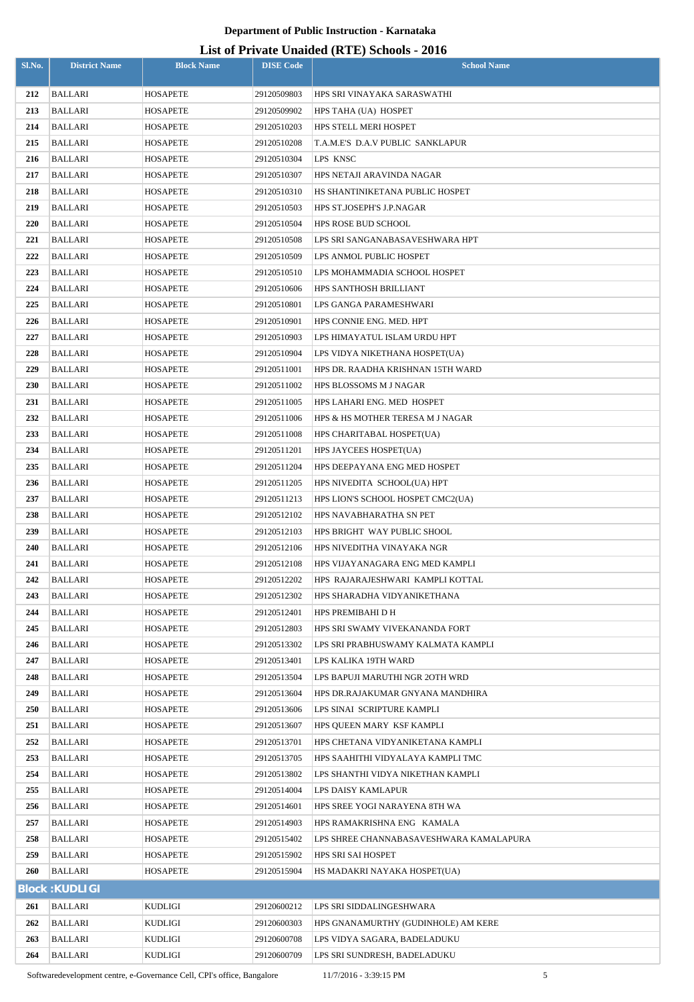| Sl.No. | <b>District Name</b>  | <b>Block Name</b> | <b>DISE Code</b> | $\sigma$ of Figure Changed (IVIE) behoods $\sim$ 0.10<br><b>School Name</b> |
|--------|-----------------------|-------------------|------------------|-----------------------------------------------------------------------------|
| 212    | BALLARI               | HOSAPETE          | 29120509803      | HPS SRI VINAYAKA SARASWATHI                                                 |
| 213    | <b>BALLARI</b>        | HOSAPETE          | 29120509902      | HPS TAHA (UA) HOSPET                                                        |
| 214    | <b>BALLARI</b>        | HOSAPETE          | 29120510203      | HPS STELL MERI HOSPET                                                       |
| 215    | BALLARI               | HOSAPETE          | 29120510208      | T.A.M.E'S D.A.V PUBLIC SANKLAPUR                                            |
| 216    | BALLARI               | HOSAPETE          | 29120510304      | LPS KNSC                                                                    |
| 217    | <b>BALLARI</b>        | HOSAPETE          | 29120510307      | HPS NETAJI ARAVINDA NAGAR                                                   |
| 218    | <b>BALLARI</b>        | HOSAPETE          | 29120510310      | HS SHANTINIKETANA PUBLIC HOSPET                                             |
| 219    | <b>BALLARI</b>        | HOSAPETE          | 29120510503      | HPS ST.JOSEPH'S J.P.NAGAR                                                   |
| 220    | BALLARI               | HOSAPETE          | 29120510504      | <b>HPS ROSE BUD SCHOOL</b>                                                  |
| 221    | <b>BALLARI</b>        | HOSAPETE          | 29120510508      | LPS SRI SANGANABASAVESHWARA HPT                                             |
| 222    | <b>BALLARI</b>        | HOSAPETE          | 29120510509      | LPS ANMOL PUBLIC HOSPET                                                     |
| 223    | <b>BALLARI</b>        | HOSAPETE          | 29120510510      | LPS MOHAMMADIA SCHOOL HOSPET                                                |
| 224    | <b>BALLARI</b>        | HOSAPETE          | 29120510606      | HPS SANTHOSH BRILLIANT                                                      |
| 225    | <b>BALLARI</b>        | HOSAPETE          | 29120510801      | LPS GANGA PARAMESHWARI                                                      |
| 226    | <b>BALLARI</b>        | HOSAPETE          | 29120510901      | HPS CONNIE ENG. MED. HPT                                                    |
| 227    | BALLARI               | HOSAPETE          | 29120510903      | LPS HIMAYATUL ISLAM URDU HPT                                                |
| 228    | <b>BALLARI</b>        | HOSAPETE          | 29120510904      | LPS VIDYA NIKETHANA HOSPET(UA)                                              |
| 229    | BALLARI               | HOSAPETE          | 29120511001      | HPS DR. RAADHA KRISHNAN 15TH WARD                                           |
| 230    | BALLARI               | HOSAPETE          | 29120511002      | HPS BLOSSOMS M J NAGAR                                                      |
| 231    | BALLARI               | HOSAPETE          | 29120511005      | HPS LAHARI ENG. MED HOSPET                                                  |
| 232    | BALLARI               | HOSAPETE          | 29120511006      | HPS & HS MOTHER TERESA M J NAGAR                                            |
| 233    | BALLARI               | HOSAPETE          | 29120511008      | HPS CHARITABAL HOSPET(UA)                                                   |
| 234    | <b>BALLARI</b>        | HOSAPETE          | 29120511201      | HPS JAYCEES HOSPET(UA)                                                      |
| 235    | BALLARI               | HOSAPETE          | 29120511204      | HPS DEEPAYANA ENG MED HOSPET                                                |
| 236    | <b>BALLARI</b>        | HOSAPETE          | 29120511205      | HPS NIVEDITA SCHOOL(UA) HPT                                                 |
| 237    | BALLARI               | HOSAPETE          | 29120511213      | HPS LION'S SCHOOL HOSPET CMC2(UA)                                           |
| 238    | <b>BALLARI</b>        | HOSAPETE          | 29120512102      | HPS NAVABHARATHA SN PET                                                     |
| 239    | <b>BALLARI</b>        | <b>HOSAPETE</b>   | 29120512103      | HPS BRIGHT WAY PUBLIC SHOOL                                                 |
| 240    | BALLARI               | HOSAPETE          | 29120512106      | HPS NIVEDITHA VINAYAKA NGR                                                  |
| 241    | <b>BALLARI</b>        | HOSAPETE          | 29120512108      | HPS VIJAYANAGARA ENG MED KAMPLI                                             |
| 242    | <b>BALLARI</b>        | HOSAPETE          | 29120512202      | HPS RAJARAJESHWARI KAMPLI KOTTAL                                            |
| 243    | BALLARI               | <b>HOSAPETE</b>   | 29120512302      | HPS SHARADHA VIDYANIKETHANA                                                 |
| 244    | <b>BALLARI</b>        | HOSAPETE          | 29120512401      | HPS PREMIBAHI D H                                                           |
| 245    | <b>BALLARI</b>        | HOSAPETE          | 29120512803      | HPS SRI SWAMY VIVEKANANDA FORT                                              |
| 246    | <b>BALLARI</b>        | HOSAPETE          | 29120513302      | LPS SRI PRABHUSWAMY KALMATA KAMPLI                                          |
| 247    | <b>BALLARI</b>        | HOSAPETE          | 29120513401      | LPS KALIKA 19TH WARD                                                        |
| 248    | BALLARI               | HOSAPETE          | 29120513504      | LPS BAPUJI MARUTHI NGR 20TH WRD                                             |
| 249    | BALLARI               | HOSAPETE          | 29120513604      | HPS DR.RAJAKUMAR GNYANA MANDHIRA                                            |
| 250    | <b>BALLARI</b>        | HOSAPETE          | 29120513606      | LPS SINAI SCRIPTURE KAMPLI                                                  |
| 251    | <b>BALLARI</b>        | HOSAPETE          | 29120513607      | HPS QUEEN MARY KSF KAMPLI                                                   |
| 252    | BALLARI               | HOSAPETE          | 29120513701      | HPS CHETANA VIDYANIKETANA KAMPLI                                            |
| 253    | BALLARI               | HOSAPETE          | 29120513705      | HPS SAAHITHI VIDYALAYA KAMPLI TMC                                           |
| 254    | BALLARI               | HOSAPETE          | 29120513802      | LPS SHANTHI VIDYA NIKETHAN KAMPLI                                           |
| 255    | BALLARI               | <b>HOSAPETE</b>   | 29120514004      | LPS DAISY KAMLAPUR                                                          |
| 256    | BALLARI               | HOSAPETE          | 29120514601      | HPS SREE YOGI NARAYENA 8TH WA                                               |
| 257    | BALLARI               | HOSAPETE          | 29120514903      | HPS RAMAKRISHNA ENG KAMALA                                                  |
| 258    | BALLARI               | HOSAPETE          | 29120515402      | LPS SHREE CHANNABASAVESHWARA KAMALAPURA                                     |
| 259    | BALLARI               | HOSAPETE          | 29120515902      | HPS SRI SAI HOSPET                                                          |
| 260    | BALLARI               | HOSAPETE          | 29120515904      | HS MADAKRI NAYAKA HOSPET(UA)                                                |
|        | <b>Block: KUDLIGI</b> |                   |                  |                                                                             |
| 261    | <b>BALLARI</b>        | KUDLIGI           | 29120600212      | LPS SRI SIDDALINGESHWARA                                                    |
| 262    | BALLARI               | KUDLIGI           | 29120600303      | HPS GNANAMURTHY (GUDINHOLE) AM KERE                                         |
| 263    | <b>BALLARI</b>        | KUDLIGI           | 29120600708      | LPS VIDYA SAGARA, BADELADUKU                                                |
| 264    | <b>BALLARI</b>        | KUDLIGI           | 29120600709      | LPS SRI SUNDRESH, BADELADUKU                                                |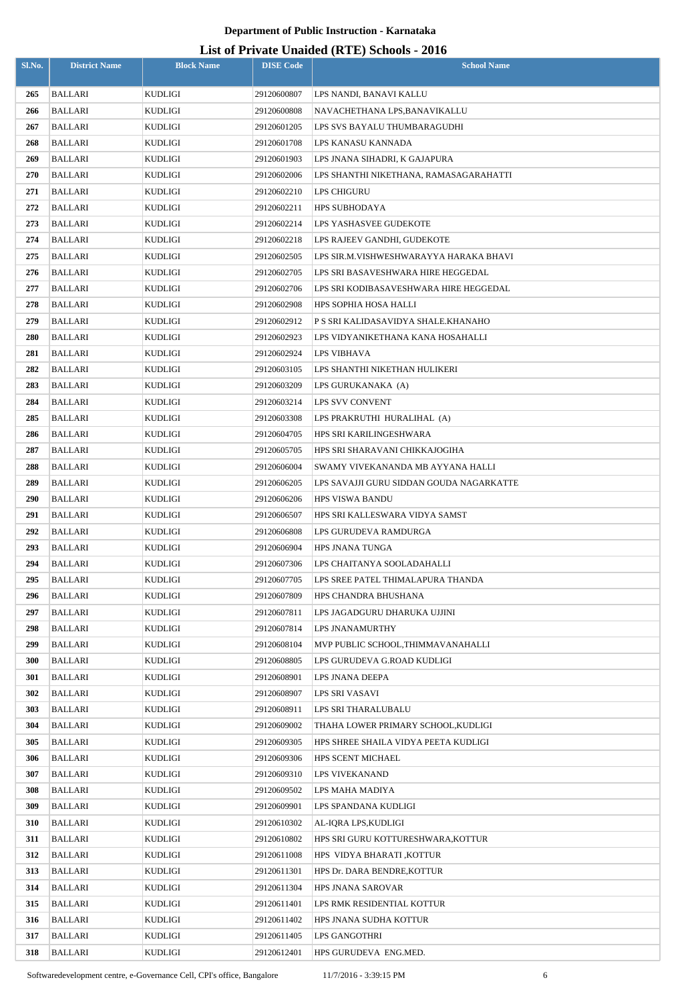| Sl.No. | <b>District Name</b> | <b>Block Name</b> | <b>DISE Code</b> | $\mu$ <sub>15</sub> of T <sub>11</sub> , and Onalact (IVII) behoofs $\mu$ <sub>016</sub><br><b>School Name</b> |
|--------|----------------------|-------------------|------------------|----------------------------------------------------------------------------------------------------------------|
| 265    | BALLARI              | KUDLIGI           | 29120600807      | LPS NANDI, BANAVI KALLU                                                                                        |
| 266    | <b>BALLARI</b>       | KUDLIGI           | 29120600808      | NAVACHETHANA LPS,BANAVIKALLU                                                                                   |
| 267    | BALLARI              | KUDLIGI           | 29120601205      | LPS SVS BAYALU THUMBARAGUDHI                                                                                   |
| 268    | <b>BALLARI</b>       | KUDLIGI           | 29120601708      | LPS KANASU KANNADA                                                                                             |
| 269    | BALLARI              | KUDLIGI           | 29120601903      | LPS JNANA SIHADRI, K GAJAPURA                                                                                  |
| 270    | <b>BALLARI</b>       | KUDLIGI           | 29120602006      | LPS SHANTHI NIKETHANA, RAMASAGARAHATTI                                                                         |
| 271    | <b>BALLARI</b>       | KUDLIGI           | 29120602210      | LPS CHIGURU                                                                                                    |
| 272    | <b>BALLARI</b>       | KUDLIGI           | 29120602211      | HPS SUBHODAYA                                                                                                  |
| 273    | <b>BALLARI</b>       | KUDLIGI           | 29120602214      | LPS YASHASVEE GUDEKOTE                                                                                         |
| 274    | <b>BALLARI</b>       | KUDLIGI           | 29120602218      | LPS RAJEEV GANDHI, GUDEKOTE                                                                                    |
| 275    | <b>BALLARI</b>       | KUDLIGI           | 29120602505      | LPS SIR.M.VISHWESHWARAYYA HARAKA BHAVI                                                                         |
| 276    | <b>BALLARI</b>       | KUDLIGI           | 29120602705      | LPS SRI BASAVESHWARA HIRE HEGGEDAL                                                                             |
| 277    | BALLARI              | KUDLIGI           | 29120602706      | LPS SRI KODIBASAVESHWARA HIRE HEGGEDAL                                                                         |
| 278    | BALLARI              | KUDLIGI           | 29120602908      | HPS SOPHIA HOSA HALLI                                                                                          |
| 279    | <b>BALLARI</b>       | KUDLIGI           | 29120602912      | P S SRI KALIDASAVIDYA SHALE.KHANAHO                                                                            |
| 280    | BALLARI              | KUDLIGI           | 29120602923      | LPS VIDYANIKETHANA KANA HOSAHALLI                                                                              |
| 281    | BALLARI              | KUDLIGI           | 29120602924      | LPS VIBHAVA                                                                                                    |
| 282    | BALLARI              | KUDLIGI           | 29120603105      | LPS SHANTHI NIKETHAN HULIKERI                                                                                  |
| 283    | BALLARI              | KUDLIGI           | 29120603209      | LPS GURUKANAKA (A)                                                                                             |
| 284    | BALLARI              | KUDLIGI           | 29120603214      | LPS SVV CONVENT                                                                                                |
| 285    | BALLARI              | KUDLIGI           | 29120603308      | LPS PRAKRUTHI HURALIHAL (A)                                                                                    |
| 286    | <b>BALLARI</b>       | KUDLIGI           | 29120604705      | HPS SRI KARILINGESHWARA                                                                                        |
| 287    | <b>BALLARI</b>       | KUDLIGI           | 29120605705      | HPS SRI SHARAVANI CHIKKAJOGIHA                                                                                 |
| 288    | BALLARI              | KUDLIGI           | 29120606004      | SWAMY VIVEKANANDA MB AYYANA HALLI                                                                              |
| 289    | <b>BALLARI</b>       | KUDLIGI           | 29120606205      | LPS SAVAJJI GURU SIDDAN GOUDA NAGARKATTE                                                                       |
| 290    | BALLARI              | KUDLIGI           | 29120606206      | <b>HPS VISWA BANDU</b>                                                                                         |
| 291    | <b>BALLARI</b>       | KUDLIGI           | 29120606507      | HPS SRI KALLESWARA VIDYA SAMST                                                                                 |
| 292    | BALLARI              | KUDLIGI           | 29120606808      | LPS GURUDEVA RAMDURGA                                                                                          |
| 293    | BALLARI              | KUDLIGI           | 29120606904      | HPS JNANA TUNGA                                                                                                |
| 294    | <b>BALLARI</b>       | KUDLIGI           | 29120607306      | LPS CHAITANYA SOOLADAHALLI                                                                                     |
| 295    | <b>BALLARI</b>       | KUDLIGI           | 29120607705      | LPS SREE PATEL THIMALAPURA THANDA                                                                              |
| 296    | <b>BALLARI</b>       | KUDLIGI           | 29120607809      | HPS CHANDRA BHUSHANA                                                                                           |
| 297    | <b>BALLARI</b>       | KUDLIGI           | 29120607811      | LPS JAGADGURU DHARUKA UJJINI                                                                                   |
| 298    | <b>BALLARI</b>       | KUDLIGI           | 29120607814      | LPS JNANAMURTHY                                                                                                |
| 299    | <b>BALLARI</b>       | KUDLIGI           | 29120608104      | MVP PUBLIC SCHOOL, THIMMAVANAHALLI                                                                             |
| 300    | <b>BALLARI</b>       | KUDLIGI           | 29120608805      | LPS GURUDEVA G.ROAD KUDLIGI                                                                                    |
| 301    | BALLARI              | KUDLIGI           | 29120608901      | LPS JNANA DEEPA                                                                                                |
| 302    | BALLARI              | KUDLIGI           | 29120608907      | LPS SRI VASAVI                                                                                                 |
| 303    | BALLARI              | KUDLIGI           | 29120608911      | LPS SRI THARALUBALU                                                                                            |
| 304    | BALLARI              | KUDLIGI           | 29120609002      | THAHA LOWER PRIMARY SCHOOL, KUDLIGI                                                                            |
| 305    | BALLARI              | KUDLIGI           | 29120609305      | HPS SHREE SHAILA VIDYA PEETA KUDLIGI                                                                           |
| 306    | BALLARI              | KUDLIGI           | 29120609306      | <b>HPS SCENT MICHAEL</b>                                                                                       |
| 307    | <b>BALLARI</b>       | KUDLIGI           | 29120609310      | LPS VIVEKANAND                                                                                                 |
| 308    | BALLARI              | KUDLIGI           | 29120609502      | LPS MAHA MADIYA                                                                                                |
| 309    | BALLARI              | KUDLIGI           | 29120609901      | LPS SPANDANA KUDLIGI                                                                                           |
| 310    | <b>BALLARI</b>       | KUDLIGI           | 29120610302      | AL-IQRA LPS, KUDLIGI                                                                                           |
| 311    | BALLARI              | KUDLIGI           | 29120610802      | HPS SRI GURU KOTTURESHWARA, KOTTUR                                                                             |
| 312    | BALLARI              | KUDLIGI           | 29120611008      | HPS VIDYA BHARATI, KOTTUR                                                                                      |
| 313    | BALLARI              | KUDLIGI           | 29120611301      | HPS Dr. DARA BENDRE, KOTTUR                                                                                    |
| 314    | BALLARI              | KUDLIGI           | 29120611304      | HPS JNANA SAROVAR                                                                                              |
| 315    | BALLARI              | KUDLIGI           | 29120611401      | LPS RMK RESIDENTIAL KOTTUR                                                                                     |
| 316    | <b>BALLARI</b>       | KUDLIGI           | 29120611402      | HPS JNANA SUDHA KOTTUR                                                                                         |
| 317    | BALLARI              | KUDLIGI           | 29120611405      | LPS GANGOTHRI                                                                                                  |
| 318    | <b>BALLARI</b>       | KUDLIGI           | 29120612401      | HPS GURUDEVA ENG.MED.                                                                                          |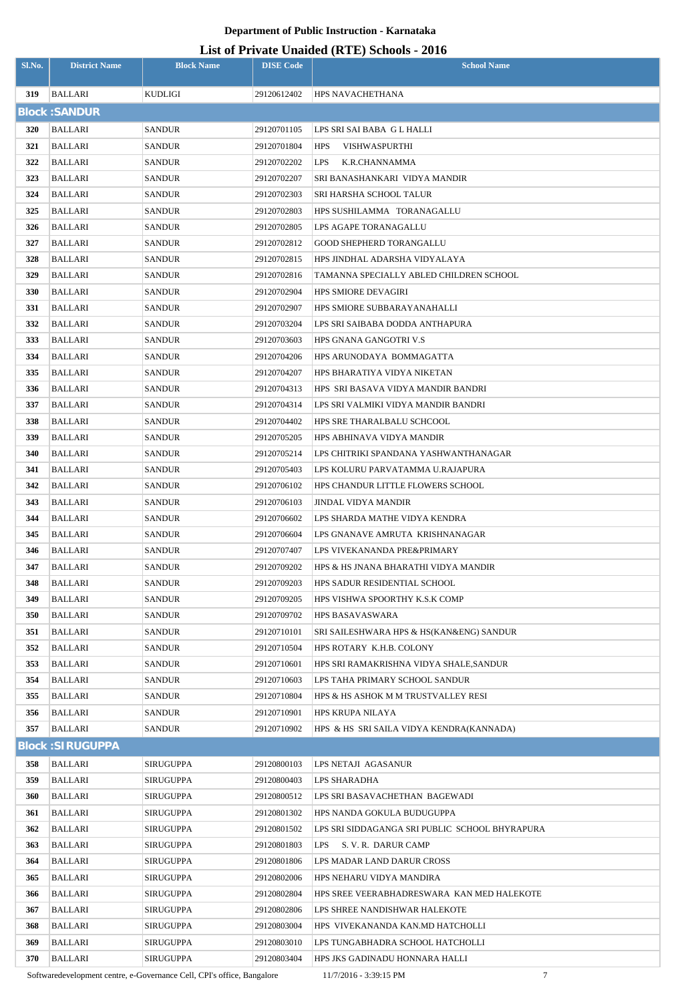### **List of Private Unaided (RTE) Schools - 2016**

| Sl.No. | <b>District Name</b>    | <b>Block Name</b> | <b>DISE Code</b> | $\mu$ <sub>15</sub> of T <sub>11</sub> , and Onalact (IVII) behoofs $\mu$ <sub>016</sub><br><b>School Name</b> |
|--------|-------------------------|-------------------|------------------|----------------------------------------------------------------------------------------------------------------|
| 319    | <b>BALLARI</b>          | KUDLIGI           | 29120612402      | HPS NAVACHETHANA                                                                                               |
|        | <b>Block: SANDUR</b>    |                   |                  |                                                                                                                |
| 320    | <b>BALLARI</b>          | <b>SANDUR</b>     | 29120701105      | LPS SRI SAI BABA G L HALLI                                                                                     |
| 321    | BALLARI                 | <b>SANDUR</b>     | 29120701804      | VISHWASPURTHI<br><b>HPS</b>                                                                                    |
| 322    | BALLARI                 | <b>SANDUR</b>     | 29120702202      | <b>LPS</b><br>K.R.CHANNAMMA                                                                                    |
| 323    | BALLARI                 | <b>SANDUR</b>     | 29120702207      | SRI BANASHANKARI VIDYA MANDIR                                                                                  |
| 324    | <b>BALLARI</b>          | SANDUR            | 29120702303      | SRI HARSHA SCHOOL TALUR                                                                                        |
| 325    | BALLARI                 | <b>SANDUR</b>     | 29120702803      | HPS SUSHILAMMA TORANAGALLU                                                                                     |
| 326    | <b>BALLARI</b>          | SANDUR            | 29120702805      | LPS AGAPE TORANAGALLU                                                                                          |
| 327    | <b>BALLARI</b>          | SANDUR            | 29120702812      | <b>GOOD SHEPHERD TORANGALLU</b>                                                                                |
| 328    | BALLARI                 | SANDUR            | 29120702815      | HPS JINDHAL ADARSHA VIDYALAYA                                                                                  |
| 329    | BALLARI                 | SANDUR            | 29120702816      | TAMANNA SPECIALLY ABLED CHILDREN SCHOOL                                                                        |
| 330    | BALLARI                 | SANDUR            | 29120702904      | <b>HPS SMIORE DEVAGIRI</b>                                                                                     |
| 331    | <b>BALLARI</b>          | SANDUR            | 29120702907      | HPS SMIORE SUBBARAYANAHALLI                                                                                    |
| 332    | BALLARI                 | SANDUR            | 29120703204      | LPS SRI SAIBABA DODDA ANTHAPURA                                                                                |
| 333    | BALLARI                 | SANDUR            | 29120703603      | HPS GNANA GANGOTRI V.S                                                                                         |
| 334    | BALLARI                 | SANDUR            | 29120704206      | HPS ARUNODAYA BOMMAGATTA                                                                                       |
| 335    | BALLARI                 | SANDUR            | 29120704207      | HPS BHARATIYA VIDYA NIKETAN                                                                                    |
| 336    | BALLARI                 | SANDUR            | 29120704313      | HPS SRI BASAVA VIDYA MANDIR BANDRI                                                                             |
| 337    | <b>BALLARI</b>          | SANDUR            | 29120704314      | LPS SRI VALMIKI VIDYA MANDIR BANDRI                                                                            |
| 338    | BALLARI                 | SANDUR            | 29120704402      | HPS SRE THARALBALU SCHCOOL                                                                                     |
| 339    | BALLARI                 | SANDUR            | 29120705205      | HPS ABHINAVA VIDYA MANDIR                                                                                      |
| 340    | BALLARI                 | SANDUR            | 29120705214      | LPS CHITRIKI SPANDANA YASHWANTHANAGAR                                                                          |
| 341    | BALLARI                 | SANDUR            | 29120705403      | LPS KOLURU PARVATAMMA U.RAJAPURA                                                                               |
| 342    | BALLARI                 | SANDUR            | 29120706102      | HPS CHANDUR LITTLE FLOWERS SCHOOL                                                                              |
| 343    | <b>BALLARI</b>          | <b>SANDUR</b>     | 29120706103      | JINDAL VIDYA MANDIR                                                                                            |
| 344    | BALLARI                 | <b>SANDUR</b>     | 29120706602      | LPS SHARDA MATHE VIDYA KENDRA                                                                                  |
| 345    | <b>BALLARI</b>          | <b>SANDUR</b>     | 29120706604      | LPS GNANAVE AMRUTA KRISHNANAGAR                                                                                |
| 346    | BALLARI                 | <b>SANDUR</b>     | 29120707407      | LPS VIVEKANANDA PRE&PRIMARY                                                                                    |
| 347    | <b>BALLARI</b>          | <b>SANDUR</b>     | 29120709202      | HPS & HS JNANA BHARATHI VIDYA MANDIR                                                                           |
| 348    | BALLARI                 | <b>SANDUR</b>     | 29120709203      | HPS SADUR RESIDENTIAL SCHOOL                                                                                   |
| 349    | BALLARI                 | SANDUR            | 29120709205      | HPS VISHWA SPOORTHY K.S.K COMP                                                                                 |
| 350    | <b>BALLARI</b>          | <b>SANDUR</b>     | 29120709702      | <b>HPS BASAVASWARA</b>                                                                                         |
| 351    | BALLARI                 | SANDUR            | 29120710101      | SRI SAILESHWARA HPS & HS(KANŊ) SANDUR                                                                          |
| 352    | BALLARI                 | SANDUR            | 29120710504      | HPS ROTARY K.H.B. COLONY                                                                                       |
| 353    | BALLARI                 | SANDUR            | 29120710601      | HPS SRI RAMAKRISHNA VIDYA SHALE,SANDUR                                                                         |
| 354    | BALLARI                 | <b>SANDUR</b>     | 29120710603      | LPS TAHA PRIMARY SCHOOL SANDUR                                                                                 |
| 355    | BALLARI                 | SANDUR            | 29120710804      | HPS & HS ASHOK M M TRUSTVALLEY RESI                                                                            |
| 356    | BALLARI                 | SANDUR            | 29120710901      | <b>HPS KRUPA NILAYA</b>                                                                                        |
| 357    | BALLARI                 | <b>SANDUR</b>     | 29120710902      | HPS & HS SRI SAILA VIDYA KENDRA(KANNADA)                                                                       |
|        | <b>Block: SIRUGUPPA</b> |                   |                  |                                                                                                                |
| 358    | <b>BALLARI</b>          | <b>SIRUGUPPA</b>  | 29120800103      | LPS NETAJI AGASANUR                                                                                            |
| 359    | BALLARI                 | <b>SIRUGUPPA</b>  | 29120800403      | LPS SHARADHA                                                                                                   |
| 360    | BALLARI                 | <b>SIRUGUPPA</b>  | 29120800512      | LPS SRI BASAVACHETHAN BAGEWADI                                                                                 |
| 361    | BALLARI                 | SIRUGUPPA         | 29120801302      | HPS NANDA GOKULA BUDUGUPPA                                                                                     |
| 362    | BALLARI                 | SIRUGUPPA         | 29120801502      | LPS SRI SIDDAGANGA SRI PUBLIC SCHOOL BHYRAPURA                                                                 |
| 363    | BALLARI                 | SIRUGUPPA         | 29120801803      | S. V. R. DARUR CAMP<br><b>LPS</b>                                                                              |
| 364    | BALLARI                 | SIRUGUPPA         | 29120801806      | LPS MADAR LAND DARUR CROSS                                                                                     |
| 365    | BALLARI                 | SIRUGUPPA         | 29120802006      | HPS NEHARU VIDYA MANDIRA                                                                                       |
| 366    | BALLARI                 | SIRUGUPPA         | 29120802804      | HPS SREE VEERABHADRESWARA KAN MED HALEKOTE                                                                     |
| 367    | BALLARI                 | SIRUGUPPA         | 29120802806      | LPS SHREE NANDISHWAR HALEKOTE                                                                                  |
| 368    | BALLARI                 | SIRUGUPPA         | 29120803004      | HPS VIVEKANANDA KAN.MD HATCHOLLI                                                                               |
| 369    | <b>BALLARI</b>          | <b>SIRUGUPPA</b>  | 29120803010      | LPS TUNGABHADRA SCHOOL HATCHOLLI                                                                               |
| 370    | BALLARI                 | <b>SIRUGUPPA</b>  | 29120803404      | HPS JKS GADINADU HONNARA HALLI                                                                                 |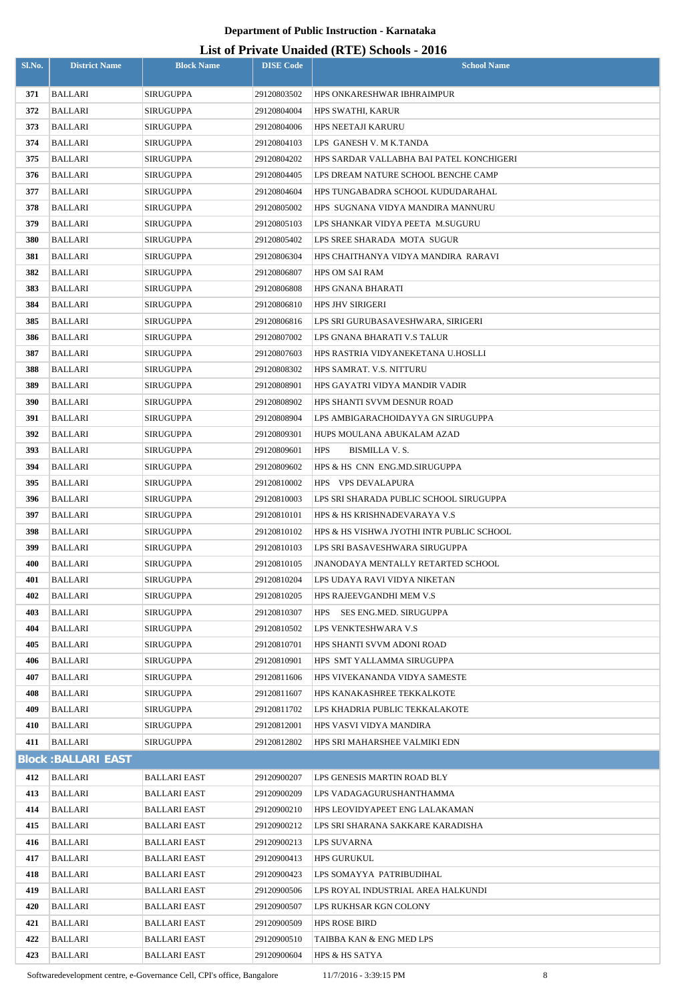### **List of Private Unaided (RTE) Schools - 2016**

|            |                            |                        |                            | LIST OF FITTANE UNAIGURE (IN FET ) OCHOUS - 2010             |
|------------|----------------------------|------------------------|----------------------------|--------------------------------------------------------------|
| Sl.No.     | <b>District Name</b>       | <b>Block Name</b>      | <b>DISE Code</b>           | <b>School Name</b>                                           |
| 371        | <b>BALLARI</b>             | SIRUGUPPA              | 29120803502                | HPS ONKARESHWAR IBHRAIMPUR                                   |
| 372        | BALLARI                    | SIRUGUPPA              | 29120804004                | <b>HPS SWATHI, KARUR</b>                                     |
| 373        | <b>BALLARI</b>             | SIRUGUPPA              | 29120804006                | <b>HPS NEETAJI KARURU</b>                                    |
| 374        | BALLARI                    | SIRUGUPPA              | 29120804103                | LPS GANESH V. M K.TANDA                                      |
| 375        | BALLARI                    | SIRUGUPPA              | 29120804202                | HPS SARDAR VALLABHA BAI PATEL KONCHIGERI                     |
| 376        | BALLARI                    | SIRUGUPPA              | 29120804405                | LPS DREAM NATURE SCHOOL BENCHE CAMP                          |
| 377        | <b>BALLARI</b>             | SIRUGUPPA              | 29120804604                | HPS TUNGABADRA SCHOOL KUDUDARAHAL                            |
| 378        | BALLARI                    | SIRUGUPPA              | 29120805002                | HPS SUGNANA VIDYA MANDIRA MANNURU                            |
| 379        | BALLARI                    | SIRUGUPPA              | 29120805103                | LPS SHANKAR VIDYA PEETA M.SUGURU                             |
| 380        | <b>BALLARI</b>             | SIRUGUPPA              | 29120805402                | LPS SREE SHARADA MOTA SUGUR                                  |
| 381        | <b>BALLARI</b>             | <b>SIRUGUPPA</b>       | 29120806304                | HPS CHAITHANYA VIDYA MANDIRA RARAVI                          |
| 382        | BALLARI                    | <b>SIRUGUPPA</b>       | 29120806807                | HPS OM SAI RAM                                               |
| 383        | <b>BALLARI</b>             | SIRUGUPPA              | 29120806808                | <b>HPS GNANA BHARATI</b>                                     |
| 384        | BALLARI                    | SIRUGUPPA              | 29120806810                | <b>HPS JHV SIRIGERI</b>                                      |
| 385        | <b>BALLARI</b>             | SIRUGUPPA              | 29120806816                | LPS SRI GURUBASAVESHWARA, SIRIGERI                           |
| 386        | BALLARI                    | SIRUGUPPA              | 29120807002                | LPS GNANA BHARATI V.S TALUR                                  |
| 387        | BALLARI                    | SIRUGUPPA              | 29120807603                | HPS RASTRIA VIDYANEKETANA U.HOSLLI                           |
| 388        | BALLARI                    | SIRUGUPPA              | 29120808302                | HPS SAMRAT. V.S. NITTURU                                     |
| 389        | <b>BALLARI</b>             | SIRUGUPPA              | 29120808901                | HPS GAYATRI VIDYA MANDIR VADIR                               |
| 390        | BALLARI                    | SIRUGUPPA              | 29120808902                | HPS SHANTI SVVM DESNUR ROAD                                  |
| 391        | <b>BALLARI</b>             | SIRUGUPPA              | 29120808904                | LPS AMBIGARACHOIDAYYA GN SIRUGUPPA                           |
| 392        | BALLARI                    | SIRUGUPPA              | 29120809301                | HUPS MOULANA ABUKALAM AZAD                                   |
| 393        | <b>BALLARI</b>             | SIRUGUPPA              | 29120809601                | <b>HPS</b><br>BISMILLA V. S.                                 |
| 394        | BALLARI                    | SIRUGUPPA              | 29120809602                | HPS & HS CNN ENG.MD.SIRUGUPPA                                |
| 395        | <b>BALLARI</b>             | SIRUGUPPA              | 29120810002                | HPS VPS DEVALAPURA                                           |
| 396        | <b>BALLARI</b>             | SIRUGUPPA              | 29120810003                | LPS SRI SHARADA PUBLIC SCHOOL SIRUGUPPA                      |
| 397        | BALLARI                    | SIRUGUPPA              | 29120810101                | HPS & HS KRISHNADEVARAYA V.S                                 |
| 398        | <b>BALLARI</b>             | <b>SIRUGUPPA</b>       | 29120810102                | HPS & HS VISHWA JYOTHI INTR PUBLIC SCHOOL                    |
| 399        | BALLARI                    | SIRUGUPPA              | 29120810103                | LPS SRI BASAVESHWARA SIRUGUPPA                               |
| 400        | BALLARI                    | SIRUGUPPA              | 29120810105                | <b>JNANODAYA MENTALLY RETARTED SCHOOL</b>                    |
| 401        | BALLARI                    | SIRUGUPPA              | 29120810204                | LPS UDAYA RAVI VIDYA NIKETAN                                 |
| 402        | BALLARI                    | SIRUGUPPA              | 29120810205                | HPS RAJEEVGANDHI MEM V.S                                     |
| 403        | BALLARI                    | SIRUGUPPA              | 29120810307                | HPS SES ENG.MED. SIRUGUPPA                                   |
| 404        | BALLARI                    | SIRUGUPPA              | 29120810502                | LPS VENKTESHWARA V.S                                         |
| 405        | BALLARI                    | SIRUGUPPA              | 29120810701                | HPS SHANTI SVVM ADONI ROAD                                   |
| 406        | BALLARI                    | SIRUGUPPA              | 29120810901                | HPS SMT YALLAMMA SIRUGUPPA                                   |
| 407        | BALLARI                    | SIRUGUPPA              | 29120811606                | HPS VIVEKANANDA VIDYA SAMESTE                                |
| 408<br>409 | BALLARI<br>BALLARI         | SIRUGUPPA<br>SIRUGUPPA | 29120811607<br>29120811702 | HPS KANAKASHREE TEKKALKOTE<br>LPS KHADRIA PUBLIC TEKKALAKOTE |
| 410        | BALLARI                    | SIRUGUPPA              | 29120812001                | HPS VASVI VIDYA MANDIRA                                      |
| 411        | BALLARI                    | SIRUGUPPA              | 29120812802                | HPS SRI MAHARSHEE VALMIKI EDN                                |
|            | <b>Block: BALLARI EAST</b> |                        |                            |                                                              |
| 412        | <b>BALLARI</b>             | BALLARI EAST           | 29120900207                | LPS GENESIS MARTIN ROAD BLY                                  |
| 413        | BALLARI                    | BALLARI EAST           | 29120900209                | LPS VADAGAGURUSHANTHAMMA                                     |
| 414        | BALLARI                    | BALLARI EAST           | 29120900210                | HPS LEOVIDY APEET ENG LALAKAMAN                              |
| 415        | BALLARI                    | BALLARI EAST           | 29120900212                | LPS SRI SHARANA SAKKARE KARADISHA                            |
| 416        | BALLARI                    | BALLARI EAST           | 29120900213                | LPS SUVARNA                                                  |
| 417        | BALLARI                    | BALLARI EAST           | 29120900413                | <b>HPS GURUKUL</b>                                           |
| 418        | BALLARI                    | BALLARI EAST           | 29120900423                | LPS SOMAYYA PATRIBUDIHAL                                     |
| 419        | BALLARI                    | BALLARI EAST           | 29120900506                | LPS ROYAL INDUSTRIAL AREA HALKUNDI                           |
| 420        | BALLARI                    | BALLARI EAST           | 29120900507                | LPS RUKHSAR KGN COLONY                                       |
| 421        | BALLARI                    | BALLARI EAST           | 29120900509                | <b>HPS ROSE BIRD</b>                                         |
| 422        | BALLARI                    | BALLARI EAST           | 29120900510                | TAIBBA KAN & ENG MED LPS                                     |
| 423        | BALLARI                    | BALLARI EAST           | 29120900604                | <b>HPS &amp; HS SATYA</b>                                    |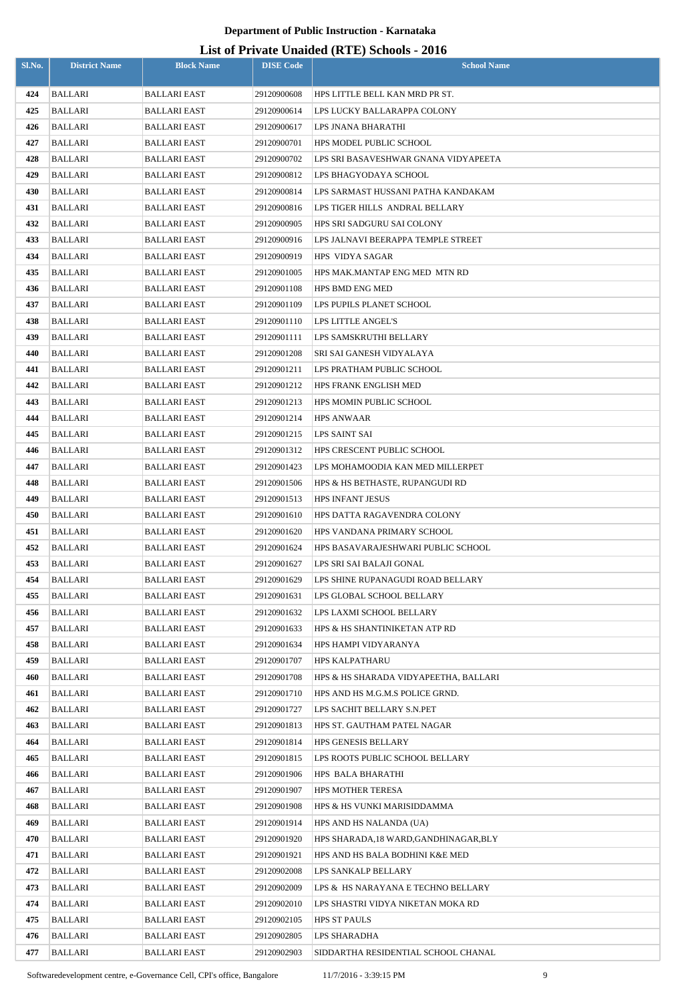| 424<br><b>BALLARI</b><br>29120900608<br>HPS LITTLE BELL KAN MRD PR ST.<br>BALLARI EAST<br>425<br><b>BALLARI</b><br>BALLARI EAST<br>29120900614<br>LPS LUCKY BALLARAPPA COLONY<br>426<br>BALLARI<br>BALLARI EAST<br>29120900617<br>LPS JNANA BHARATHI<br>427<br>BALLARI<br>HPS MODEL PUBLIC SCHOOL<br>BALLARI EAST<br>29120900701<br>428<br>BALLARI<br>29120900702<br>LPS SRI BASAVESHWAR GNANA VIDYAPEETA<br>BALLARI EAST<br>429<br><b>BALLARI</b><br>BALLARI EAST<br>29120900812<br>LPS BHAGYODAYA SCHOOL<br>430<br><b>BALLARI</b><br>LPS SARMAST HUSSANI PATHA KANDAKAM<br>BALLARI EAST<br>29120900814<br>431<br>BALLARI<br>BALLARI EAST<br>29120900816<br>LPS TIGER HILLS ANDRAL BELLARY<br>432<br><b>BALLARI</b><br>BALLARI EAST<br>29120900905<br>HPS SRI SADGURU SAI COLONY<br>433<br>BALLARI<br>BALLARI EAST<br>29120900916<br>LPS JALNAVI BEERAPPA TEMPLE STREET<br>434<br><b>BALLARI</b><br>BALLARI EAST<br>29120900919<br>HPS VIDYA SAGAR<br>435<br>BALLARI<br>BALLARI EAST<br>29120901005<br>HPS MAK.MANTAP ENG MED MTN RD<br>436<br>BALLARI<br>HPS BMD ENG MED<br>BALLARI EAST<br>29120901108<br>437<br>BALLARI<br>BALLARI EAST<br>29120901109<br>LPS PUPILS PLANET SCHOOL<br>438<br>BALLARI<br>BALLARI EAST<br>29120901110<br>LPS LITTLE ANGEL'S<br>439<br>29120901111<br>LPS SAMSKRUTHI BELLARY<br>BALLARI<br>BALLARI EAST<br>440<br>BALLARI<br>SRI SAI GANESH VIDYALAYA<br>BALLARI EAST<br>29120901208<br>441<br>BALLARI<br>BALLARI EAST<br>29120901211<br>LPS PRATHAM PUBLIC SCHOOL<br>442<br><b>BALLARI</b><br>HPS FRANK ENGLISH MED<br>BALLARI EAST<br>29120901212<br>443<br>BALLARI<br>BALLARI EAST<br>29120901213<br>HPS MOMIN PUBLIC SCHOOL<br>444<br><b>BALLARI</b><br>BALLARI EAST<br>29120901214<br><b>HPS ANWAAR</b><br>445<br>BALLARI<br>BALLARI EAST<br>LPS SAINT SAI<br>29120901215<br>446<br><b>BALLARI</b><br>HPS CRESCENT PUBLIC SCHOOL<br>BALLARI EAST<br>29120901312<br>447<br>BALLARI<br>29120901423<br>LPS MOHAMOODIA KAN MED MILLERPET<br>BALLARI EAST<br>448<br><b>BALLARI</b><br>BALLARI EAST<br>29120901506<br>HPS & HS BETHASTE, RUPANGUDI RD<br>449<br>BALLARI<br>29120901513<br>HPS INFANT JESUS<br>BALLARI EAST<br>450<br><b>BALLARI</b><br>29120901610<br>HPS DATTA RAGAVENDRA COLONY<br>BALLARI EAST<br>451<br><b>BALLARI</b><br>BALLARI EAST<br>29120901620<br>HPS VANDANA PRIMARY SCHOOL<br>452<br>BALLARI<br>BALLARI EAST<br>29120901624<br>HPS BASAVARAJESHWARI PUBLIC SCHOOL<br>453<br>BALLARI<br>29120901627<br>LPS SRI SAI BALAJI GONAL<br>BALLARI EAST<br>454<br>BALLARI<br>BALLARI EAST<br>29120901629<br>LPS SHINE RUPANAGUDI ROAD BELLARY<br><b>BALLARI</b><br>455<br>BALLARI EAST<br>29120901631<br>LPS GLOBAL SCHOOL BELLARY<br>456<br>BALLARI<br>29120901632<br>LPS LAXMI SCHOOL BELLARY<br>BALLARI EAST<br>457<br>BALLARI<br>29120901633<br>HPS & HS SHANTINIKETAN ATP RD<br>BALLARI EAST<br>458<br>BALLARI<br>BALLARI EAST<br>29120901634<br>HPS HAMPI VIDYARANYA<br>459<br>BALLARI<br>BALLARI EAST<br>29120901707<br>HPS KALPATHARU<br>460<br>BALLARI<br>HPS & HS SHARADA VIDYAPEETHA, BALLARI<br>BALLARI EAST<br>29120901708<br>BALLARI<br>461<br>BALLARI EAST<br>29120901710<br>HPS AND HS M.G.M.S POLICE GRND.<br>462<br>BALLARI<br>BALLARI EAST<br>29120901727<br>LPS SACHIT BELLARY S.N.PET<br>463<br>BALLARI<br>BALLARI EAST<br>29120901813<br>HPS ST. GAUTHAM PATEL NAGAR<br>464<br>HPS GENESIS BELLARY<br>BALLARI<br>BALLARI EAST<br>29120901814<br>BALLARI<br>29120901815<br>LPS ROOTS PUBLIC SCHOOL BELLARY<br>465<br>BALLARI EAST<br>466<br>BALLARI<br>BALLARI EAST<br>29120901906<br>HPS BALA BHARATHI<br>BALLARI<br>HPS MOTHER TERESA<br>467<br>BALLARI EAST<br>29120901907<br>468<br>BALLARI<br>29120901908<br>HPS & HS VUNKI MARISIDDAMMA<br>BALLARI EAST<br>469<br>BALLARI<br>HPS AND HS NALANDA (UA)<br>BALLARI EAST<br>29120901914<br>470<br>BALLARI<br>BALLARI EAST<br>29120901920<br>HPS SHARADA, 18 WARD, GANDHINAGAR, BLY<br>471<br>BALLARI<br>HPS AND HS BALA BODHINI K&E MED<br>BALLARI EAST<br>29120901921<br>472<br>BALLARI<br>29120902008<br>LPS SANKALP BELLARY<br>BALLARI EAST<br>473<br>BALLARI<br>29120902009<br>LPS & HS NARAYANA E TECHNO BELLARY<br>BALLARI EAST<br>474<br>BALLARI<br>BALLARI EAST<br>29120902010<br>LPS SHASTRI VIDYA NIKETAN MOKA RD<br>475<br>BALLARI<br><b>HPS ST PAULS</b><br>BALLARI EAST<br>29120902105<br>476<br>BALLARI<br>29120902805<br>LPS SHARADHA<br>BALLARI EAST | Sl.No. | <b>District Name</b> | <b>Block Name</b> | <b>DISE Code</b> | $List$ of Trivally Unafully (IVTE) behoods - 2010<br><b>School Name</b> |
|-------------------------------------------------------------------------------------------------------------------------------------------------------------------------------------------------------------------------------------------------------------------------------------------------------------------------------------------------------------------------------------------------------------------------------------------------------------------------------------------------------------------------------------------------------------------------------------------------------------------------------------------------------------------------------------------------------------------------------------------------------------------------------------------------------------------------------------------------------------------------------------------------------------------------------------------------------------------------------------------------------------------------------------------------------------------------------------------------------------------------------------------------------------------------------------------------------------------------------------------------------------------------------------------------------------------------------------------------------------------------------------------------------------------------------------------------------------------------------------------------------------------------------------------------------------------------------------------------------------------------------------------------------------------------------------------------------------------------------------------------------------------------------------------------------------------------------------------------------------------------------------------------------------------------------------------------------------------------------------------------------------------------------------------------------------------------------------------------------------------------------------------------------------------------------------------------------------------------------------------------------------------------------------------------------------------------------------------------------------------------------------------------------------------------------------------------------------------------------------------------------------------------------------------------------------------------------------------------------------------------------------------------------------------------------------------------------------------------------------------------------------------------------------------------------------------------------------------------------------------------------------------------------------------------------------------------------------------------------------------------------------------------------------------------------------------------------------------------------------------------------------------------------------------------------------------------------------------------------------------------------------------------------------------------------------------------------------------------------------------------------------------------------------------------------------------------------------------------------------------------------------------------------------------------------------------------------------------------------------------------------------------------------------------------------------------------------------------------------------------------------------------------------------------------------------------------------------------------------------------------------------------------------------------------------------------------------------------------------------------------------------------------------------------------------------------------------------------------------------------------------------------------------------------------------------------------------------------------------------------------------------------------------------------------------------------------------------------------------------------------------------------------|--------|----------------------|-------------------|------------------|-------------------------------------------------------------------------|
|                                                                                                                                                                                                                                                                                                                                                                                                                                                                                                                                                                                                                                                                                                                                                                                                                                                                                                                                                                                                                                                                                                                                                                                                                                                                                                                                                                                                                                                                                                                                                                                                                                                                                                                                                                                                                                                                                                                                                                                                                                                                                                                                                                                                                                                                                                                                                                                                                                                                                                                                                                                                                                                                                                                                                                                                                                                                                                                                                                                                                                                                                                                                                                                                                                                                                                                                                                                                                                                                                                                                                                                                                                                                                                                                                                                                                                                                                                                                                                                                                                                                                                                                                                                                                                                                                                                                                                                                 |        |                      |                   |                  |                                                                         |
|                                                                                                                                                                                                                                                                                                                                                                                                                                                                                                                                                                                                                                                                                                                                                                                                                                                                                                                                                                                                                                                                                                                                                                                                                                                                                                                                                                                                                                                                                                                                                                                                                                                                                                                                                                                                                                                                                                                                                                                                                                                                                                                                                                                                                                                                                                                                                                                                                                                                                                                                                                                                                                                                                                                                                                                                                                                                                                                                                                                                                                                                                                                                                                                                                                                                                                                                                                                                                                                                                                                                                                                                                                                                                                                                                                                                                                                                                                                                                                                                                                                                                                                                                                                                                                                                                                                                                                                                 |        |                      |                   |                  |                                                                         |
|                                                                                                                                                                                                                                                                                                                                                                                                                                                                                                                                                                                                                                                                                                                                                                                                                                                                                                                                                                                                                                                                                                                                                                                                                                                                                                                                                                                                                                                                                                                                                                                                                                                                                                                                                                                                                                                                                                                                                                                                                                                                                                                                                                                                                                                                                                                                                                                                                                                                                                                                                                                                                                                                                                                                                                                                                                                                                                                                                                                                                                                                                                                                                                                                                                                                                                                                                                                                                                                                                                                                                                                                                                                                                                                                                                                                                                                                                                                                                                                                                                                                                                                                                                                                                                                                                                                                                                                                 |        |                      |                   |                  |                                                                         |
|                                                                                                                                                                                                                                                                                                                                                                                                                                                                                                                                                                                                                                                                                                                                                                                                                                                                                                                                                                                                                                                                                                                                                                                                                                                                                                                                                                                                                                                                                                                                                                                                                                                                                                                                                                                                                                                                                                                                                                                                                                                                                                                                                                                                                                                                                                                                                                                                                                                                                                                                                                                                                                                                                                                                                                                                                                                                                                                                                                                                                                                                                                                                                                                                                                                                                                                                                                                                                                                                                                                                                                                                                                                                                                                                                                                                                                                                                                                                                                                                                                                                                                                                                                                                                                                                                                                                                                                                 |        |                      |                   |                  |                                                                         |
|                                                                                                                                                                                                                                                                                                                                                                                                                                                                                                                                                                                                                                                                                                                                                                                                                                                                                                                                                                                                                                                                                                                                                                                                                                                                                                                                                                                                                                                                                                                                                                                                                                                                                                                                                                                                                                                                                                                                                                                                                                                                                                                                                                                                                                                                                                                                                                                                                                                                                                                                                                                                                                                                                                                                                                                                                                                                                                                                                                                                                                                                                                                                                                                                                                                                                                                                                                                                                                                                                                                                                                                                                                                                                                                                                                                                                                                                                                                                                                                                                                                                                                                                                                                                                                                                                                                                                                                                 |        |                      |                   |                  |                                                                         |
|                                                                                                                                                                                                                                                                                                                                                                                                                                                                                                                                                                                                                                                                                                                                                                                                                                                                                                                                                                                                                                                                                                                                                                                                                                                                                                                                                                                                                                                                                                                                                                                                                                                                                                                                                                                                                                                                                                                                                                                                                                                                                                                                                                                                                                                                                                                                                                                                                                                                                                                                                                                                                                                                                                                                                                                                                                                                                                                                                                                                                                                                                                                                                                                                                                                                                                                                                                                                                                                                                                                                                                                                                                                                                                                                                                                                                                                                                                                                                                                                                                                                                                                                                                                                                                                                                                                                                                                                 |        |                      |                   |                  |                                                                         |
|                                                                                                                                                                                                                                                                                                                                                                                                                                                                                                                                                                                                                                                                                                                                                                                                                                                                                                                                                                                                                                                                                                                                                                                                                                                                                                                                                                                                                                                                                                                                                                                                                                                                                                                                                                                                                                                                                                                                                                                                                                                                                                                                                                                                                                                                                                                                                                                                                                                                                                                                                                                                                                                                                                                                                                                                                                                                                                                                                                                                                                                                                                                                                                                                                                                                                                                                                                                                                                                                                                                                                                                                                                                                                                                                                                                                                                                                                                                                                                                                                                                                                                                                                                                                                                                                                                                                                                                                 |        |                      |                   |                  |                                                                         |
|                                                                                                                                                                                                                                                                                                                                                                                                                                                                                                                                                                                                                                                                                                                                                                                                                                                                                                                                                                                                                                                                                                                                                                                                                                                                                                                                                                                                                                                                                                                                                                                                                                                                                                                                                                                                                                                                                                                                                                                                                                                                                                                                                                                                                                                                                                                                                                                                                                                                                                                                                                                                                                                                                                                                                                                                                                                                                                                                                                                                                                                                                                                                                                                                                                                                                                                                                                                                                                                                                                                                                                                                                                                                                                                                                                                                                                                                                                                                                                                                                                                                                                                                                                                                                                                                                                                                                                                                 |        |                      |                   |                  |                                                                         |
|                                                                                                                                                                                                                                                                                                                                                                                                                                                                                                                                                                                                                                                                                                                                                                                                                                                                                                                                                                                                                                                                                                                                                                                                                                                                                                                                                                                                                                                                                                                                                                                                                                                                                                                                                                                                                                                                                                                                                                                                                                                                                                                                                                                                                                                                                                                                                                                                                                                                                                                                                                                                                                                                                                                                                                                                                                                                                                                                                                                                                                                                                                                                                                                                                                                                                                                                                                                                                                                                                                                                                                                                                                                                                                                                                                                                                                                                                                                                                                                                                                                                                                                                                                                                                                                                                                                                                                                                 |        |                      |                   |                  |                                                                         |
|                                                                                                                                                                                                                                                                                                                                                                                                                                                                                                                                                                                                                                                                                                                                                                                                                                                                                                                                                                                                                                                                                                                                                                                                                                                                                                                                                                                                                                                                                                                                                                                                                                                                                                                                                                                                                                                                                                                                                                                                                                                                                                                                                                                                                                                                                                                                                                                                                                                                                                                                                                                                                                                                                                                                                                                                                                                                                                                                                                                                                                                                                                                                                                                                                                                                                                                                                                                                                                                                                                                                                                                                                                                                                                                                                                                                                                                                                                                                                                                                                                                                                                                                                                                                                                                                                                                                                                                                 |        |                      |                   |                  |                                                                         |
|                                                                                                                                                                                                                                                                                                                                                                                                                                                                                                                                                                                                                                                                                                                                                                                                                                                                                                                                                                                                                                                                                                                                                                                                                                                                                                                                                                                                                                                                                                                                                                                                                                                                                                                                                                                                                                                                                                                                                                                                                                                                                                                                                                                                                                                                                                                                                                                                                                                                                                                                                                                                                                                                                                                                                                                                                                                                                                                                                                                                                                                                                                                                                                                                                                                                                                                                                                                                                                                                                                                                                                                                                                                                                                                                                                                                                                                                                                                                                                                                                                                                                                                                                                                                                                                                                                                                                                                                 |        |                      |                   |                  |                                                                         |
|                                                                                                                                                                                                                                                                                                                                                                                                                                                                                                                                                                                                                                                                                                                                                                                                                                                                                                                                                                                                                                                                                                                                                                                                                                                                                                                                                                                                                                                                                                                                                                                                                                                                                                                                                                                                                                                                                                                                                                                                                                                                                                                                                                                                                                                                                                                                                                                                                                                                                                                                                                                                                                                                                                                                                                                                                                                                                                                                                                                                                                                                                                                                                                                                                                                                                                                                                                                                                                                                                                                                                                                                                                                                                                                                                                                                                                                                                                                                                                                                                                                                                                                                                                                                                                                                                                                                                                                                 |        |                      |                   |                  |                                                                         |
|                                                                                                                                                                                                                                                                                                                                                                                                                                                                                                                                                                                                                                                                                                                                                                                                                                                                                                                                                                                                                                                                                                                                                                                                                                                                                                                                                                                                                                                                                                                                                                                                                                                                                                                                                                                                                                                                                                                                                                                                                                                                                                                                                                                                                                                                                                                                                                                                                                                                                                                                                                                                                                                                                                                                                                                                                                                                                                                                                                                                                                                                                                                                                                                                                                                                                                                                                                                                                                                                                                                                                                                                                                                                                                                                                                                                                                                                                                                                                                                                                                                                                                                                                                                                                                                                                                                                                                                                 |        |                      |                   |                  |                                                                         |
|                                                                                                                                                                                                                                                                                                                                                                                                                                                                                                                                                                                                                                                                                                                                                                                                                                                                                                                                                                                                                                                                                                                                                                                                                                                                                                                                                                                                                                                                                                                                                                                                                                                                                                                                                                                                                                                                                                                                                                                                                                                                                                                                                                                                                                                                                                                                                                                                                                                                                                                                                                                                                                                                                                                                                                                                                                                                                                                                                                                                                                                                                                                                                                                                                                                                                                                                                                                                                                                                                                                                                                                                                                                                                                                                                                                                                                                                                                                                                                                                                                                                                                                                                                                                                                                                                                                                                                                                 |        |                      |                   |                  |                                                                         |
|                                                                                                                                                                                                                                                                                                                                                                                                                                                                                                                                                                                                                                                                                                                                                                                                                                                                                                                                                                                                                                                                                                                                                                                                                                                                                                                                                                                                                                                                                                                                                                                                                                                                                                                                                                                                                                                                                                                                                                                                                                                                                                                                                                                                                                                                                                                                                                                                                                                                                                                                                                                                                                                                                                                                                                                                                                                                                                                                                                                                                                                                                                                                                                                                                                                                                                                                                                                                                                                                                                                                                                                                                                                                                                                                                                                                                                                                                                                                                                                                                                                                                                                                                                                                                                                                                                                                                                                                 |        |                      |                   |                  |                                                                         |
|                                                                                                                                                                                                                                                                                                                                                                                                                                                                                                                                                                                                                                                                                                                                                                                                                                                                                                                                                                                                                                                                                                                                                                                                                                                                                                                                                                                                                                                                                                                                                                                                                                                                                                                                                                                                                                                                                                                                                                                                                                                                                                                                                                                                                                                                                                                                                                                                                                                                                                                                                                                                                                                                                                                                                                                                                                                                                                                                                                                                                                                                                                                                                                                                                                                                                                                                                                                                                                                                                                                                                                                                                                                                                                                                                                                                                                                                                                                                                                                                                                                                                                                                                                                                                                                                                                                                                                                                 |        |                      |                   |                  |                                                                         |
|                                                                                                                                                                                                                                                                                                                                                                                                                                                                                                                                                                                                                                                                                                                                                                                                                                                                                                                                                                                                                                                                                                                                                                                                                                                                                                                                                                                                                                                                                                                                                                                                                                                                                                                                                                                                                                                                                                                                                                                                                                                                                                                                                                                                                                                                                                                                                                                                                                                                                                                                                                                                                                                                                                                                                                                                                                                                                                                                                                                                                                                                                                                                                                                                                                                                                                                                                                                                                                                                                                                                                                                                                                                                                                                                                                                                                                                                                                                                                                                                                                                                                                                                                                                                                                                                                                                                                                                                 |        |                      |                   |                  |                                                                         |
|                                                                                                                                                                                                                                                                                                                                                                                                                                                                                                                                                                                                                                                                                                                                                                                                                                                                                                                                                                                                                                                                                                                                                                                                                                                                                                                                                                                                                                                                                                                                                                                                                                                                                                                                                                                                                                                                                                                                                                                                                                                                                                                                                                                                                                                                                                                                                                                                                                                                                                                                                                                                                                                                                                                                                                                                                                                                                                                                                                                                                                                                                                                                                                                                                                                                                                                                                                                                                                                                                                                                                                                                                                                                                                                                                                                                                                                                                                                                                                                                                                                                                                                                                                                                                                                                                                                                                                                                 |        |                      |                   |                  |                                                                         |
|                                                                                                                                                                                                                                                                                                                                                                                                                                                                                                                                                                                                                                                                                                                                                                                                                                                                                                                                                                                                                                                                                                                                                                                                                                                                                                                                                                                                                                                                                                                                                                                                                                                                                                                                                                                                                                                                                                                                                                                                                                                                                                                                                                                                                                                                                                                                                                                                                                                                                                                                                                                                                                                                                                                                                                                                                                                                                                                                                                                                                                                                                                                                                                                                                                                                                                                                                                                                                                                                                                                                                                                                                                                                                                                                                                                                                                                                                                                                                                                                                                                                                                                                                                                                                                                                                                                                                                                                 |        |                      |                   |                  |                                                                         |
|                                                                                                                                                                                                                                                                                                                                                                                                                                                                                                                                                                                                                                                                                                                                                                                                                                                                                                                                                                                                                                                                                                                                                                                                                                                                                                                                                                                                                                                                                                                                                                                                                                                                                                                                                                                                                                                                                                                                                                                                                                                                                                                                                                                                                                                                                                                                                                                                                                                                                                                                                                                                                                                                                                                                                                                                                                                                                                                                                                                                                                                                                                                                                                                                                                                                                                                                                                                                                                                                                                                                                                                                                                                                                                                                                                                                                                                                                                                                                                                                                                                                                                                                                                                                                                                                                                                                                                                                 |        |                      |                   |                  |                                                                         |
|                                                                                                                                                                                                                                                                                                                                                                                                                                                                                                                                                                                                                                                                                                                                                                                                                                                                                                                                                                                                                                                                                                                                                                                                                                                                                                                                                                                                                                                                                                                                                                                                                                                                                                                                                                                                                                                                                                                                                                                                                                                                                                                                                                                                                                                                                                                                                                                                                                                                                                                                                                                                                                                                                                                                                                                                                                                                                                                                                                                                                                                                                                                                                                                                                                                                                                                                                                                                                                                                                                                                                                                                                                                                                                                                                                                                                                                                                                                                                                                                                                                                                                                                                                                                                                                                                                                                                                                                 |        |                      |                   |                  |                                                                         |
|                                                                                                                                                                                                                                                                                                                                                                                                                                                                                                                                                                                                                                                                                                                                                                                                                                                                                                                                                                                                                                                                                                                                                                                                                                                                                                                                                                                                                                                                                                                                                                                                                                                                                                                                                                                                                                                                                                                                                                                                                                                                                                                                                                                                                                                                                                                                                                                                                                                                                                                                                                                                                                                                                                                                                                                                                                                                                                                                                                                                                                                                                                                                                                                                                                                                                                                                                                                                                                                                                                                                                                                                                                                                                                                                                                                                                                                                                                                                                                                                                                                                                                                                                                                                                                                                                                                                                                                                 |        |                      |                   |                  |                                                                         |
|                                                                                                                                                                                                                                                                                                                                                                                                                                                                                                                                                                                                                                                                                                                                                                                                                                                                                                                                                                                                                                                                                                                                                                                                                                                                                                                                                                                                                                                                                                                                                                                                                                                                                                                                                                                                                                                                                                                                                                                                                                                                                                                                                                                                                                                                                                                                                                                                                                                                                                                                                                                                                                                                                                                                                                                                                                                                                                                                                                                                                                                                                                                                                                                                                                                                                                                                                                                                                                                                                                                                                                                                                                                                                                                                                                                                                                                                                                                                                                                                                                                                                                                                                                                                                                                                                                                                                                                                 |        |                      |                   |                  |                                                                         |
|                                                                                                                                                                                                                                                                                                                                                                                                                                                                                                                                                                                                                                                                                                                                                                                                                                                                                                                                                                                                                                                                                                                                                                                                                                                                                                                                                                                                                                                                                                                                                                                                                                                                                                                                                                                                                                                                                                                                                                                                                                                                                                                                                                                                                                                                                                                                                                                                                                                                                                                                                                                                                                                                                                                                                                                                                                                                                                                                                                                                                                                                                                                                                                                                                                                                                                                                                                                                                                                                                                                                                                                                                                                                                                                                                                                                                                                                                                                                                                                                                                                                                                                                                                                                                                                                                                                                                                                                 |        |                      |                   |                  |                                                                         |
|                                                                                                                                                                                                                                                                                                                                                                                                                                                                                                                                                                                                                                                                                                                                                                                                                                                                                                                                                                                                                                                                                                                                                                                                                                                                                                                                                                                                                                                                                                                                                                                                                                                                                                                                                                                                                                                                                                                                                                                                                                                                                                                                                                                                                                                                                                                                                                                                                                                                                                                                                                                                                                                                                                                                                                                                                                                                                                                                                                                                                                                                                                                                                                                                                                                                                                                                                                                                                                                                                                                                                                                                                                                                                                                                                                                                                                                                                                                                                                                                                                                                                                                                                                                                                                                                                                                                                                                                 |        |                      |                   |                  |                                                                         |
|                                                                                                                                                                                                                                                                                                                                                                                                                                                                                                                                                                                                                                                                                                                                                                                                                                                                                                                                                                                                                                                                                                                                                                                                                                                                                                                                                                                                                                                                                                                                                                                                                                                                                                                                                                                                                                                                                                                                                                                                                                                                                                                                                                                                                                                                                                                                                                                                                                                                                                                                                                                                                                                                                                                                                                                                                                                                                                                                                                                                                                                                                                                                                                                                                                                                                                                                                                                                                                                                                                                                                                                                                                                                                                                                                                                                                                                                                                                                                                                                                                                                                                                                                                                                                                                                                                                                                                                                 |        |                      |                   |                  |                                                                         |
|                                                                                                                                                                                                                                                                                                                                                                                                                                                                                                                                                                                                                                                                                                                                                                                                                                                                                                                                                                                                                                                                                                                                                                                                                                                                                                                                                                                                                                                                                                                                                                                                                                                                                                                                                                                                                                                                                                                                                                                                                                                                                                                                                                                                                                                                                                                                                                                                                                                                                                                                                                                                                                                                                                                                                                                                                                                                                                                                                                                                                                                                                                                                                                                                                                                                                                                                                                                                                                                                                                                                                                                                                                                                                                                                                                                                                                                                                                                                                                                                                                                                                                                                                                                                                                                                                                                                                                                                 |        |                      |                   |                  |                                                                         |
|                                                                                                                                                                                                                                                                                                                                                                                                                                                                                                                                                                                                                                                                                                                                                                                                                                                                                                                                                                                                                                                                                                                                                                                                                                                                                                                                                                                                                                                                                                                                                                                                                                                                                                                                                                                                                                                                                                                                                                                                                                                                                                                                                                                                                                                                                                                                                                                                                                                                                                                                                                                                                                                                                                                                                                                                                                                                                                                                                                                                                                                                                                                                                                                                                                                                                                                                                                                                                                                                                                                                                                                                                                                                                                                                                                                                                                                                                                                                                                                                                                                                                                                                                                                                                                                                                                                                                                                                 |        |                      |                   |                  |                                                                         |
|                                                                                                                                                                                                                                                                                                                                                                                                                                                                                                                                                                                                                                                                                                                                                                                                                                                                                                                                                                                                                                                                                                                                                                                                                                                                                                                                                                                                                                                                                                                                                                                                                                                                                                                                                                                                                                                                                                                                                                                                                                                                                                                                                                                                                                                                                                                                                                                                                                                                                                                                                                                                                                                                                                                                                                                                                                                                                                                                                                                                                                                                                                                                                                                                                                                                                                                                                                                                                                                                                                                                                                                                                                                                                                                                                                                                                                                                                                                                                                                                                                                                                                                                                                                                                                                                                                                                                                                                 |        |                      |                   |                  |                                                                         |
|                                                                                                                                                                                                                                                                                                                                                                                                                                                                                                                                                                                                                                                                                                                                                                                                                                                                                                                                                                                                                                                                                                                                                                                                                                                                                                                                                                                                                                                                                                                                                                                                                                                                                                                                                                                                                                                                                                                                                                                                                                                                                                                                                                                                                                                                                                                                                                                                                                                                                                                                                                                                                                                                                                                                                                                                                                                                                                                                                                                                                                                                                                                                                                                                                                                                                                                                                                                                                                                                                                                                                                                                                                                                                                                                                                                                                                                                                                                                                                                                                                                                                                                                                                                                                                                                                                                                                                                                 |        |                      |                   |                  |                                                                         |
|                                                                                                                                                                                                                                                                                                                                                                                                                                                                                                                                                                                                                                                                                                                                                                                                                                                                                                                                                                                                                                                                                                                                                                                                                                                                                                                                                                                                                                                                                                                                                                                                                                                                                                                                                                                                                                                                                                                                                                                                                                                                                                                                                                                                                                                                                                                                                                                                                                                                                                                                                                                                                                                                                                                                                                                                                                                                                                                                                                                                                                                                                                                                                                                                                                                                                                                                                                                                                                                                                                                                                                                                                                                                                                                                                                                                                                                                                                                                                                                                                                                                                                                                                                                                                                                                                                                                                                                                 |        |                      |                   |                  |                                                                         |
|                                                                                                                                                                                                                                                                                                                                                                                                                                                                                                                                                                                                                                                                                                                                                                                                                                                                                                                                                                                                                                                                                                                                                                                                                                                                                                                                                                                                                                                                                                                                                                                                                                                                                                                                                                                                                                                                                                                                                                                                                                                                                                                                                                                                                                                                                                                                                                                                                                                                                                                                                                                                                                                                                                                                                                                                                                                                                                                                                                                                                                                                                                                                                                                                                                                                                                                                                                                                                                                                                                                                                                                                                                                                                                                                                                                                                                                                                                                                                                                                                                                                                                                                                                                                                                                                                                                                                                                                 |        |                      |                   |                  |                                                                         |
|                                                                                                                                                                                                                                                                                                                                                                                                                                                                                                                                                                                                                                                                                                                                                                                                                                                                                                                                                                                                                                                                                                                                                                                                                                                                                                                                                                                                                                                                                                                                                                                                                                                                                                                                                                                                                                                                                                                                                                                                                                                                                                                                                                                                                                                                                                                                                                                                                                                                                                                                                                                                                                                                                                                                                                                                                                                                                                                                                                                                                                                                                                                                                                                                                                                                                                                                                                                                                                                                                                                                                                                                                                                                                                                                                                                                                                                                                                                                                                                                                                                                                                                                                                                                                                                                                                                                                                                                 |        |                      |                   |                  |                                                                         |
|                                                                                                                                                                                                                                                                                                                                                                                                                                                                                                                                                                                                                                                                                                                                                                                                                                                                                                                                                                                                                                                                                                                                                                                                                                                                                                                                                                                                                                                                                                                                                                                                                                                                                                                                                                                                                                                                                                                                                                                                                                                                                                                                                                                                                                                                                                                                                                                                                                                                                                                                                                                                                                                                                                                                                                                                                                                                                                                                                                                                                                                                                                                                                                                                                                                                                                                                                                                                                                                                                                                                                                                                                                                                                                                                                                                                                                                                                                                                                                                                                                                                                                                                                                                                                                                                                                                                                                                                 |        |                      |                   |                  |                                                                         |
|                                                                                                                                                                                                                                                                                                                                                                                                                                                                                                                                                                                                                                                                                                                                                                                                                                                                                                                                                                                                                                                                                                                                                                                                                                                                                                                                                                                                                                                                                                                                                                                                                                                                                                                                                                                                                                                                                                                                                                                                                                                                                                                                                                                                                                                                                                                                                                                                                                                                                                                                                                                                                                                                                                                                                                                                                                                                                                                                                                                                                                                                                                                                                                                                                                                                                                                                                                                                                                                                                                                                                                                                                                                                                                                                                                                                                                                                                                                                                                                                                                                                                                                                                                                                                                                                                                                                                                                                 |        |                      |                   |                  |                                                                         |
|                                                                                                                                                                                                                                                                                                                                                                                                                                                                                                                                                                                                                                                                                                                                                                                                                                                                                                                                                                                                                                                                                                                                                                                                                                                                                                                                                                                                                                                                                                                                                                                                                                                                                                                                                                                                                                                                                                                                                                                                                                                                                                                                                                                                                                                                                                                                                                                                                                                                                                                                                                                                                                                                                                                                                                                                                                                                                                                                                                                                                                                                                                                                                                                                                                                                                                                                                                                                                                                                                                                                                                                                                                                                                                                                                                                                                                                                                                                                                                                                                                                                                                                                                                                                                                                                                                                                                                                                 |        |                      |                   |                  |                                                                         |
|                                                                                                                                                                                                                                                                                                                                                                                                                                                                                                                                                                                                                                                                                                                                                                                                                                                                                                                                                                                                                                                                                                                                                                                                                                                                                                                                                                                                                                                                                                                                                                                                                                                                                                                                                                                                                                                                                                                                                                                                                                                                                                                                                                                                                                                                                                                                                                                                                                                                                                                                                                                                                                                                                                                                                                                                                                                                                                                                                                                                                                                                                                                                                                                                                                                                                                                                                                                                                                                                                                                                                                                                                                                                                                                                                                                                                                                                                                                                                                                                                                                                                                                                                                                                                                                                                                                                                                                                 |        |                      |                   |                  |                                                                         |
|                                                                                                                                                                                                                                                                                                                                                                                                                                                                                                                                                                                                                                                                                                                                                                                                                                                                                                                                                                                                                                                                                                                                                                                                                                                                                                                                                                                                                                                                                                                                                                                                                                                                                                                                                                                                                                                                                                                                                                                                                                                                                                                                                                                                                                                                                                                                                                                                                                                                                                                                                                                                                                                                                                                                                                                                                                                                                                                                                                                                                                                                                                                                                                                                                                                                                                                                                                                                                                                                                                                                                                                                                                                                                                                                                                                                                                                                                                                                                                                                                                                                                                                                                                                                                                                                                                                                                                                                 |        |                      |                   |                  |                                                                         |
|                                                                                                                                                                                                                                                                                                                                                                                                                                                                                                                                                                                                                                                                                                                                                                                                                                                                                                                                                                                                                                                                                                                                                                                                                                                                                                                                                                                                                                                                                                                                                                                                                                                                                                                                                                                                                                                                                                                                                                                                                                                                                                                                                                                                                                                                                                                                                                                                                                                                                                                                                                                                                                                                                                                                                                                                                                                                                                                                                                                                                                                                                                                                                                                                                                                                                                                                                                                                                                                                                                                                                                                                                                                                                                                                                                                                                                                                                                                                                                                                                                                                                                                                                                                                                                                                                                                                                                                                 |        |                      |                   |                  |                                                                         |
|                                                                                                                                                                                                                                                                                                                                                                                                                                                                                                                                                                                                                                                                                                                                                                                                                                                                                                                                                                                                                                                                                                                                                                                                                                                                                                                                                                                                                                                                                                                                                                                                                                                                                                                                                                                                                                                                                                                                                                                                                                                                                                                                                                                                                                                                                                                                                                                                                                                                                                                                                                                                                                                                                                                                                                                                                                                                                                                                                                                                                                                                                                                                                                                                                                                                                                                                                                                                                                                                                                                                                                                                                                                                                                                                                                                                                                                                                                                                                                                                                                                                                                                                                                                                                                                                                                                                                                                                 |        |                      |                   |                  |                                                                         |
|                                                                                                                                                                                                                                                                                                                                                                                                                                                                                                                                                                                                                                                                                                                                                                                                                                                                                                                                                                                                                                                                                                                                                                                                                                                                                                                                                                                                                                                                                                                                                                                                                                                                                                                                                                                                                                                                                                                                                                                                                                                                                                                                                                                                                                                                                                                                                                                                                                                                                                                                                                                                                                                                                                                                                                                                                                                                                                                                                                                                                                                                                                                                                                                                                                                                                                                                                                                                                                                                                                                                                                                                                                                                                                                                                                                                                                                                                                                                                                                                                                                                                                                                                                                                                                                                                                                                                                                                 |        |                      |                   |                  |                                                                         |
|                                                                                                                                                                                                                                                                                                                                                                                                                                                                                                                                                                                                                                                                                                                                                                                                                                                                                                                                                                                                                                                                                                                                                                                                                                                                                                                                                                                                                                                                                                                                                                                                                                                                                                                                                                                                                                                                                                                                                                                                                                                                                                                                                                                                                                                                                                                                                                                                                                                                                                                                                                                                                                                                                                                                                                                                                                                                                                                                                                                                                                                                                                                                                                                                                                                                                                                                                                                                                                                                                                                                                                                                                                                                                                                                                                                                                                                                                                                                                                                                                                                                                                                                                                                                                                                                                                                                                                                                 |        |                      |                   |                  |                                                                         |
|                                                                                                                                                                                                                                                                                                                                                                                                                                                                                                                                                                                                                                                                                                                                                                                                                                                                                                                                                                                                                                                                                                                                                                                                                                                                                                                                                                                                                                                                                                                                                                                                                                                                                                                                                                                                                                                                                                                                                                                                                                                                                                                                                                                                                                                                                                                                                                                                                                                                                                                                                                                                                                                                                                                                                                                                                                                                                                                                                                                                                                                                                                                                                                                                                                                                                                                                                                                                                                                                                                                                                                                                                                                                                                                                                                                                                                                                                                                                                                                                                                                                                                                                                                                                                                                                                                                                                                                                 |        |                      |                   |                  |                                                                         |
|                                                                                                                                                                                                                                                                                                                                                                                                                                                                                                                                                                                                                                                                                                                                                                                                                                                                                                                                                                                                                                                                                                                                                                                                                                                                                                                                                                                                                                                                                                                                                                                                                                                                                                                                                                                                                                                                                                                                                                                                                                                                                                                                                                                                                                                                                                                                                                                                                                                                                                                                                                                                                                                                                                                                                                                                                                                                                                                                                                                                                                                                                                                                                                                                                                                                                                                                                                                                                                                                                                                                                                                                                                                                                                                                                                                                                                                                                                                                                                                                                                                                                                                                                                                                                                                                                                                                                                                                 |        |                      |                   |                  |                                                                         |
|                                                                                                                                                                                                                                                                                                                                                                                                                                                                                                                                                                                                                                                                                                                                                                                                                                                                                                                                                                                                                                                                                                                                                                                                                                                                                                                                                                                                                                                                                                                                                                                                                                                                                                                                                                                                                                                                                                                                                                                                                                                                                                                                                                                                                                                                                                                                                                                                                                                                                                                                                                                                                                                                                                                                                                                                                                                                                                                                                                                                                                                                                                                                                                                                                                                                                                                                                                                                                                                                                                                                                                                                                                                                                                                                                                                                                                                                                                                                                                                                                                                                                                                                                                                                                                                                                                                                                                                                 |        |                      |                   |                  |                                                                         |
|                                                                                                                                                                                                                                                                                                                                                                                                                                                                                                                                                                                                                                                                                                                                                                                                                                                                                                                                                                                                                                                                                                                                                                                                                                                                                                                                                                                                                                                                                                                                                                                                                                                                                                                                                                                                                                                                                                                                                                                                                                                                                                                                                                                                                                                                                                                                                                                                                                                                                                                                                                                                                                                                                                                                                                                                                                                                                                                                                                                                                                                                                                                                                                                                                                                                                                                                                                                                                                                                                                                                                                                                                                                                                                                                                                                                                                                                                                                                                                                                                                                                                                                                                                                                                                                                                                                                                                                                 |        |                      |                   |                  |                                                                         |
|                                                                                                                                                                                                                                                                                                                                                                                                                                                                                                                                                                                                                                                                                                                                                                                                                                                                                                                                                                                                                                                                                                                                                                                                                                                                                                                                                                                                                                                                                                                                                                                                                                                                                                                                                                                                                                                                                                                                                                                                                                                                                                                                                                                                                                                                                                                                                                                                                                                                                                                                                                                                                                                                                                                                                                                                                                                                                                                                                                                                                                                                                                                                                                                                                                                                                                                                                                                                                                                                                                                                                                                                                                                                                                                                                                                                                                                                                                                                                                                                                                                                                                                                                                                                                                                                                                                                                                                                 |        |                      |                   |                  |                                                                         |
|                                                                                                                                                                                                                                                                                                                                                                                                                                                                                                                                                                                                                                                                                                                                                                                                                                                                                                                                                                                                                                                                                                                                                                                                                                                                                                                                                                                                                                                                                                                                                                                                                                                                                                                                                                                                                                                                                                                                                                                                                                                                                                                                                                                                                                                                                                                                                                                                                                                                                                                                                                                                                                                                                                                                                                                                                                                                                                                                                                                                                                                                                                                                                                                                                                                                                                                                                                                                                                                                                                                                                                                                                                                                                                                                                                                                                                                                                                                                                                                                                                                                                                                                                                                                                                                                                                                                                                                                 |        |                      |                   |                  |                                                                         |
|                                                                                                                                                                                                                                                                                                                                                                                                                                                                                                                                                                                                                                                                                                                                                                                                                                                                                                                                                                                                                                                                                                                                                                                                                                                                                                                                                                                                                                                                                                                                                                                                                                                                                                                                                                                                                                                                                                                                                                                                                                                                                                                                                                                                                                                                                                                                                                                                                                                                                                                                                                                                                                                                                                                                                                                                                                                                                                                                                                                                                                                                                                                                                                                                                                                                                                                                                                                                                                                                                                                                                                                                                                                                                                                                                                                                                                                                                                                                                                                                                                                                                                                                                                                                                                                                                                                                                                                                 |        |                      |                   |                  |                                                                         |
|                                                                                                                                                                                                                                                                                                                                                                                                                                                                                                                                                                                                                                                                                                                                                                                                                                                                                                                                                                                                                                                                                                                                                                                                                                                                                                                                                                                                                                                                                                                                                                                                                                                                                                                                                                                                                                                                                                                                                                                                                                                                                                                                                                                                                                                                                                                                                                                                                                                                                                                                                                                                                                                                                                                                                                                                                                                                                                                                                                                                                                                                                                                                                                                                                                                                                                                                                                                                                                                                                                                                                                                                                                                                                                                                                                                                                                                                                                                                                                                                                                                                                                                                                                                                                                                                                                                                                                                                 |        |                      |                   |                  |                                                                         |
|                                                                                                                                                                                                                                                                                                                                                                                                                                                                                                                                                                                                                                                                                                                                                                                                                                                                                                                                                                                                                                                                                                                                                                                                                                                                                                                                                                                                                                                                                                                                                                                                                                                                                                                                                                                                                                                                                                                                                                                                                                                                                                                                                                                                                                                                                                                                                                                                                                                                                                                                                                                                                                                                                                                                                                                                                                                                                                                                                                                                                                                                                                                                                                                                                                                                                                                                                                                                                                                                                                                                                                                                                                                                                                                                                                                                                                                                                                                                                                                                                                                                                                                                                                                                                                                                                                                                                                                                 |        |                      |                   |                  |                                                                         |
|                                                                                                                                                                                                                                                                                                                                                                                                                                                                                                                                                                                                                                                                                                                                                                                                                                                                                                                                                                                                                                                                                                                                                                                                                                                                                                                                                                                                                                                                                                                                                                                                                                                                                                                                                                                                                                                                                                                                                                                                                                                                                                                                                                                                                                                                                                                                                                                                                                                                                                                                                                                                                                                                                                                                                                                                                                                                                                                                                                                                                                                                                                                                                                                                                                                                                                                                                                                                                                                                                                                                                                                                                                                                                                                                                                                                                                                                                                                                                                                                                                                                                                                                                                                                                                                                                                                                                                                                 |        |                      |                   |                  |                                                                         |
|                                                                                                                                                                                                                                                                                                                                                                                                                                                                                                                                                                                                                                                                                                                                                                                                                                                                                                                                                                                                                                                                                                                                                                                                                                                                                                                                                                                                                                                                                                                                                                                                                                                                                                                                                                                                                                                                                                                                                                                                                                                                                                                                                                                                                                                                                                                                                                                                                                                                                                                                                                                                                                                                                                                                                                                                                                                                                                                                                                                                                                                                                                                                                                                                                                                                                                                                                                                                                                                                                                                                                                                                                                                                                                                                                                                                                                                                                                                                                                                                                                                                                                                                                                                                                                                                                                                                                                                                 | 477    | BALLARI              | BALLARI EAST      | 29120902903      | SIDDARTHA RESIDENTIAL SCHOOL CHANAL                                     |